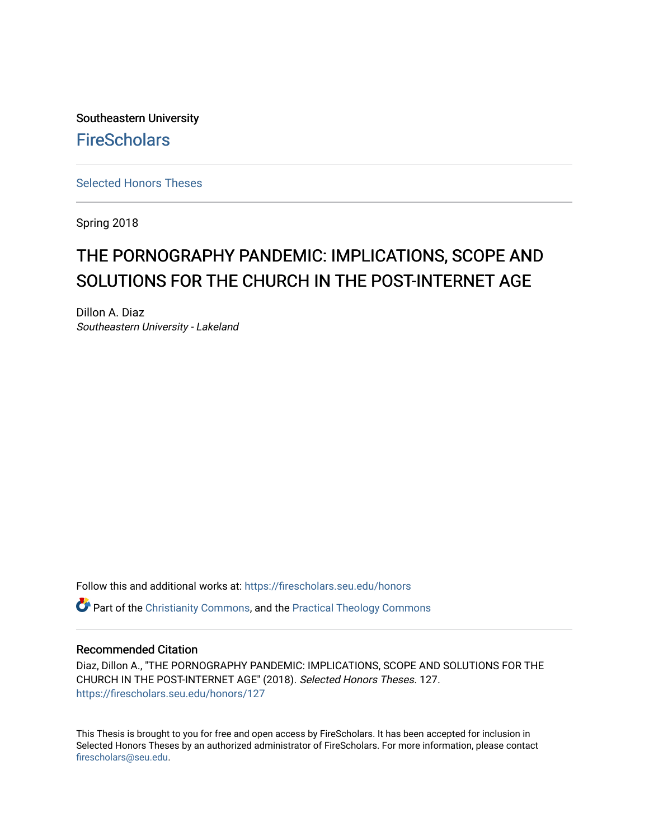Southeastern University **FireScholars** 

[Selected Honors Theses](https://firescholars.seu.edu/honors)

Spring 2018

# THE PORNOGRAPHY PANDEMIC: IMPLICATIONS, SCOPE AND SOLUTIONS FOR THE CHURCH IN THE POST-INTERNET AGE

Dillon A. Diaz Southeastern University - Lakeland

Follow this and additional works at: [https://firescholars.seu.edu/honors](https://firescholars.seu.edu/honors?utm_source=firescholars.seu.edu%2Fhonors%2F127&utm_medium=PDF&utm_campaign=PDFCoverPages)

 $\bullet$  Part of the [Christianity Commons,](http://network.bepress.com/hgg/discipline/1181?utm_source=firescholars.seu.edu%2Fhonors%2F127&utm_medium=PDF&utm_campaign=PDFCoverPages) and the Practical Theology Commons

#### Recommended Citation

Diaz, Dillon A., "THE PORNOGRAPHY PANDEMIC: IMPLICATIONS, SCOPE AND SOLUTIONS FOR THE CHURCH IN THE POST-INTERNET AGE" (2018). Selected Honors Theses. 127. [https://firescholars.seu.edu/honors/127](https://firescholars.seu.edu/honors/127?utm_source=firescholars.seu.edu%2Fhonors%2F127&utm_medium=PDF&utm_campaign=PDFCoverPages)

This Thesis is brought to you for free and open access by FireScholars. It has been accepted for inclusion in Selected Honors Theses by an authorized administrator of FireScholars. For more information, please contact [firescholars@seu.edu.](mailto:firescholars@seu.edu)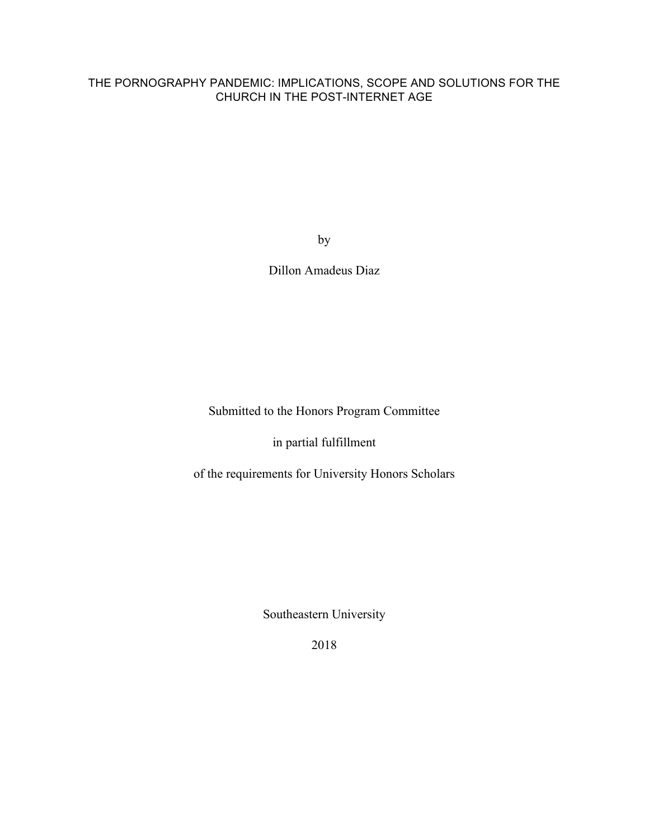# THE PORNOGRAPHY PANDEMIC: IMPLICATIONS, SCOPE AND SOLUTIONS FOR THE CHURCH IN THE POST-INTERNET AGE

by

Dillon Amadeus Diaz

Submitted to the Honors Program Committee

in partial fulfillment

of the requirements for University Honors Scholars

Southeastern University

2018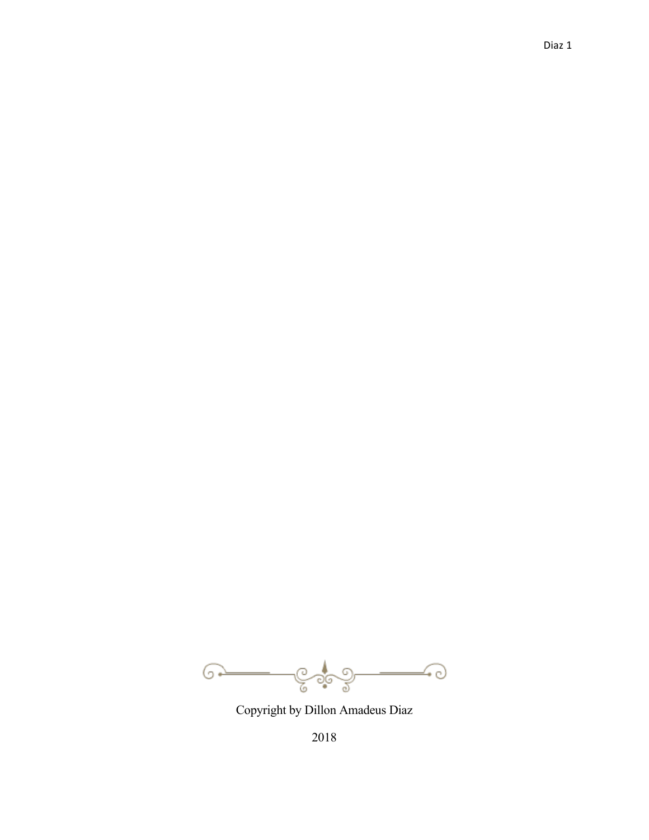$\longrightarrow$  $G$ y ್ಯೂನಿ

Copyright by Dillon Amadeus Diaz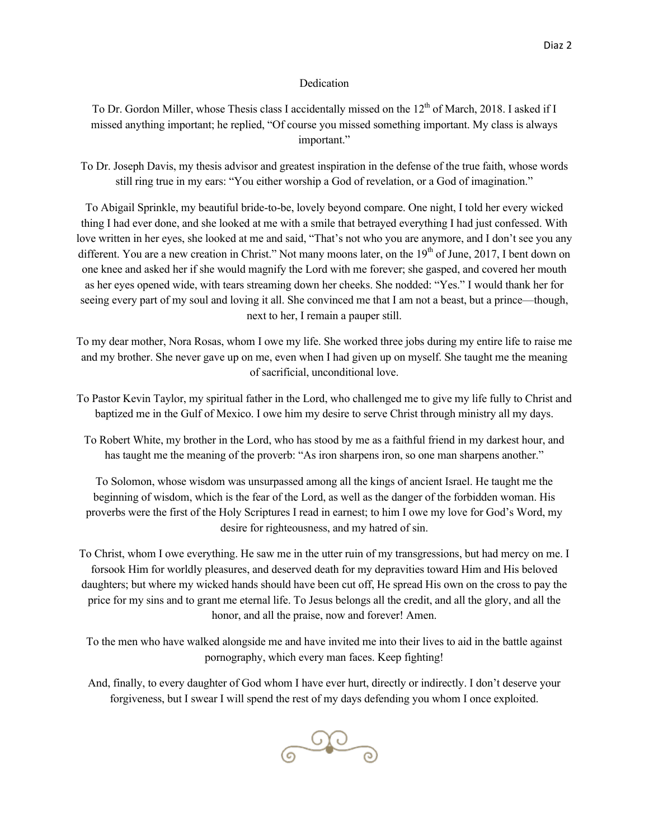#### Dedication

To Dr. Gordon Miller, whose Thesis class I accidentally missed on the 12<sup>th</sup> of March, 2018. I asked if I missed anything important; he replied, "Of course you missed something important. My class is always important."

To Dr. Joseph Davis, my thesis advisor and greatest inspiration in the defense of the true faith, whose words still ring true in my ears: "You either worship a God of revelation, or a God of imagination."

To Abigail Sprinkle, my beautiful bride-to-be, lovely beyond compare. One night, I told her every wicked thing I had ever done, and she looked at me with a smile that betrayed everything I had just confessed. With love written in her eyes, she looked at me and said, "That's not who you are anymore, and I don't see you any different. You are a new creation in Christ." Not many moons later, on the  $19<sup>th</sup>$  of June, 2017, I bent down on one knee and asked her if she would magnify the Lord with me forever; she gasped, and covered her mouth as her eyes opened wide, with tears streaming down her cheeks. She nodded: "Yes." I would thank her for seeing every part of my soul and loving it all. She convinced me that I am not a beast, but a prince—though, next to her, I remain a pauper still.

To my dear mother, Nora Rosas, whom I owe my life. She worked three jobs during my entire life to raise me and my brother. She never gave up on me, even when I had given up on myself. She taught me the meaning of sacrificial, unconditional love.

- To Pastor Kevin Taylor, my spiritual father in the Lord, who challenged me to give my life fully to Christ and baptized me in the Gulf of Mexico. I owe him my desire to serve Christ through ministry all my days.
	- To Robert White, my brother in the Lord, who has stood by me as a faithful friend in my darkest hour, and has taught me the meaning of the proverb: "As iron sharpens iron, so one man sharpens another."

To Solomon, whose wisdom was unsurpassed among all the kings of ancient Israel. He taught me the beginning of wisdom, which is the fear of the Lord, as well as the danger of the forbidden woman. His proverbs were the first of the Holy Scriptures I read in earnest; to him I owe my love for God's Word, my desire for righteousness, and my hatred of sin.

To Christ, whom I owe everything. He saw me in the utter ruin of my transgressions, but had mercy on me. I forsook Him for worldly pleasures, and deserved death for my depravities toward Him and His beloved daughters; but where my wicked hands should have been cut off, He spread His own on the cross to pay the price for my sins and to grant me eternal life. To Jesus belongs all the credit, and all the glory, and all the honor, and all the praise, now and forever! Amen.

To the men who have walked alongside me and have invited me into their lives to aid in the battle against pornography, which every man faces. Keep fighting!

And, finally, to every daughter of God whom I have ever hurt, directly or indirectly. I don't deserve your forgiveness, but I swear I will spend the rest of my days defending you whom I once exploited.

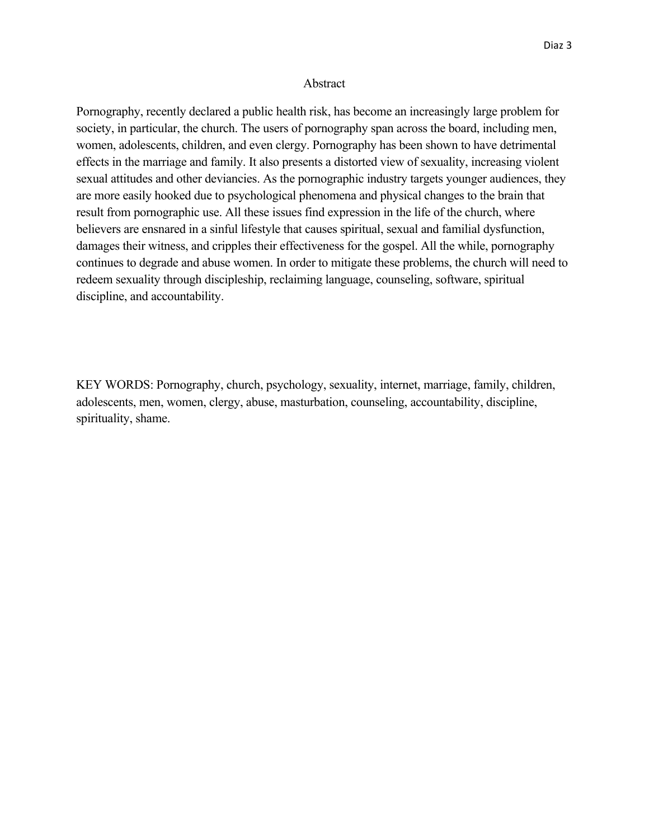#### Abstract

Pornography, recently declared a public health risk, has become an increasingly large problem for society, in particular, the church. The users of pornography span across the board, including men, women, adolescents, children, and even clergy. Pornography has been shown to have detrimental effects in the marriage and family. It also presents a distorted view of sexuality, increasing violent sexual attitudes and other deviancies. As the pornographic industry targets younger audiences, they are more easily hooked due to psychological phenomena and physical changes to the brain that result from pornographic use. All these issues find expression in the life of the church, where believers are ensnared in a sinful lifestyle that causes spiritual, sexual and familial dysfunction, damages their witness, and cripples their effectiveness for the gospel. All the while, pornography continues to degrade and abuse women. In order to mitigate these problems, the church will need to redeem sexuality through discipleship, reclaiming language, counseling, software, spiritual discipline, and accountability.

KEY WORDS: Pornography, church, psychology, sexuality, internet, marriage, family, children, adolescents, men, women, clergy, abuse, masturbation, counseling, accountability, discipline, spirituality, shame.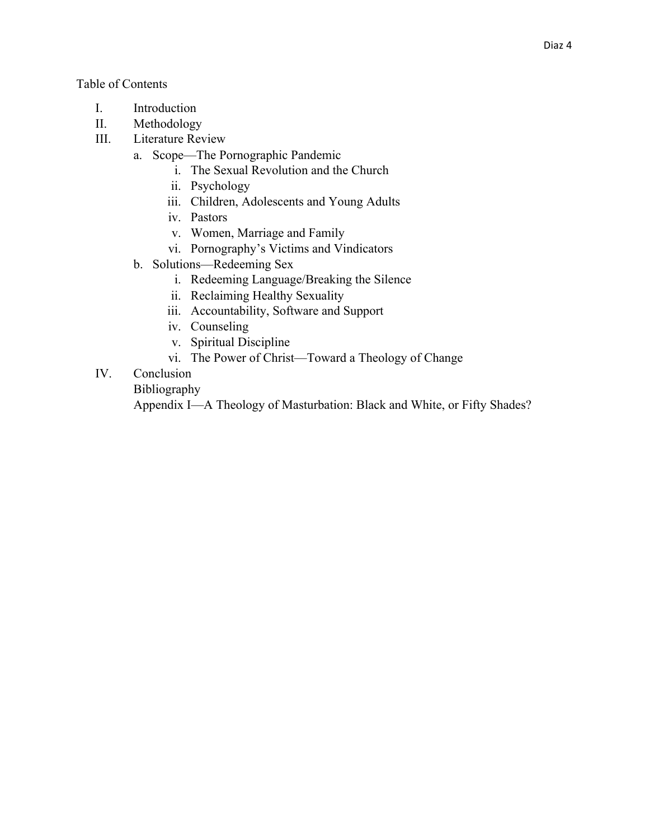# Table of Contents

- I. Introduction
- II. Methodology
- III. Literature Review
	- a. Scope—The Pornographic Pandemic
		- i. The Sexual Revolution and the Church
		- ii. Psychology
		- iii. Children, Adolescents and Young Adults
		- iv. Pastors
		- v. Women, Marriage and Family
		- vi. Pornography's Victims and Vindicators
	- b. Solutions—Redeeming Sex
		- i. Redeeming Language/Breaking the Silence
		- ii. Reclaiming Healthy Sexuality
		- iii. Accountability, Software and Support
		- iv. Counseling
		- v. Spiritual Discipline
		- vi. The Power of Christ—Toward a Theology of Change
- IV. Conclusion

# Bibliography

Appendix I—A Theology of Masturbation: Black and White, or Fifty Shades?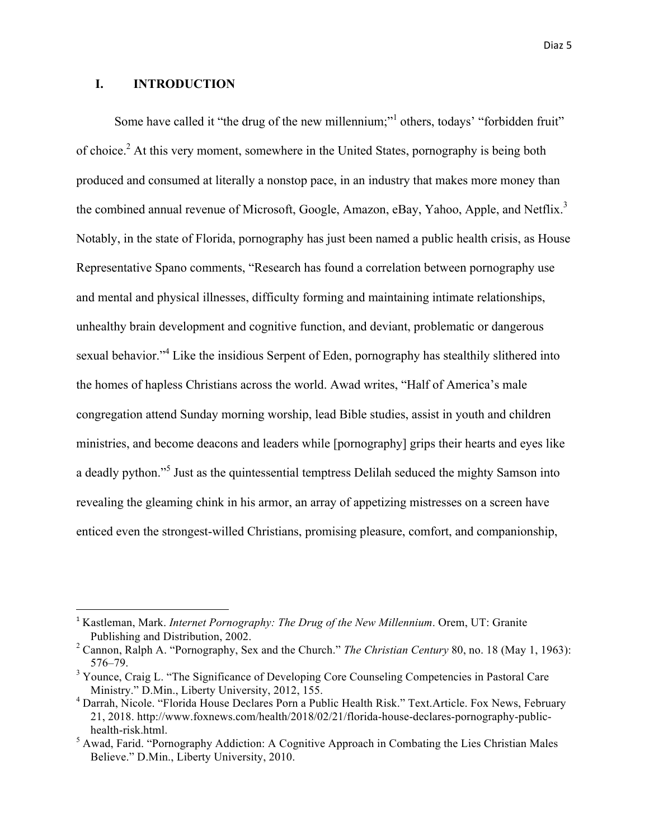# **I. INTRODUCTION**

<u> 1989 - Johann Barn, mars ann an t-Amhain an t-Amhain an t-Amhain an t-Amhain an t-Amhain an t-Amhain an t-Amh</u>

Some have called it "the drug of the new millennium;"<sup>1</sup> others, todays' "forbidden fruit" of choice.2 At this very moment, somewhere in the United States, pornography is being both produced and consumed at literally a nonstop pace, in an industry that makes more money than the combined annual revenue of Microsoft, Google, Amazon, eBay, Yahoo, Apple, and Netflix.<sup>3</sup> Notably, in the state of Florida, pornography has just been named a public health crisis, as House Representative Spano comments, "Research has found a correlation between pornography use and mental and physical illnesses, difficulty forming and maintaining intimate relationships, unhealthy brain development and cognitive function, and deviant, problematic or dangerous sexual behavior."<sup>4</sup> Like the insidious Serpent of Eden, pornography has stealthily slithered into the homes of hapless Christians across the world. Awad writes, "Half of America's male congregation attend Sunday morning worship, lead Bible studies, assist in youth and children ministries, and become deacons and leaders while [pornography] grips their hearts and eyes like a deadly python."5 Just as the quintessential temptress Delilah seduced the mighty Samson into revealing the gleaming chink in his armor, an array of appetizing mistresses on a screen have enticed even the strongest-willed Christians, promising pleasure, comfort, and companionship,

<sup>&</sup>lt;sup>1</sup> Kastleman, Mark. *Internet Pornography: The Drug of the New Millennium*. Orem, UT: Granite Publishing and Distribution, 2002.

<sup>2</sup> Cannon, Ralph A. "Pornography, Sex and the Church." *The Christian Century* 80, no. 18 (May 1, 1963): 576–79.

<sup>&</sup>lt;sup>3</sup> Younce, Craig L. "The Significance of Developing Core Counseling Competencies in Pastoral Care Ministry." D.Min., Liberty University, 2012, 155.

<sup>4</sup> Darrah, Nicole. "Florida House Declares Porn a Public Health Risk." Text.Article. Fox News, February 21, 2018. http://www.foxnews.com/health/2018/02/21/florida-house-declares-pornography-publichealth-risk.html.

<sup>5</sup> Awad, Farid. "Pornography Addiction: A Cognitive Approach in Combating the Lies Christian Males Believe." D.Min., Liberty University, 2010.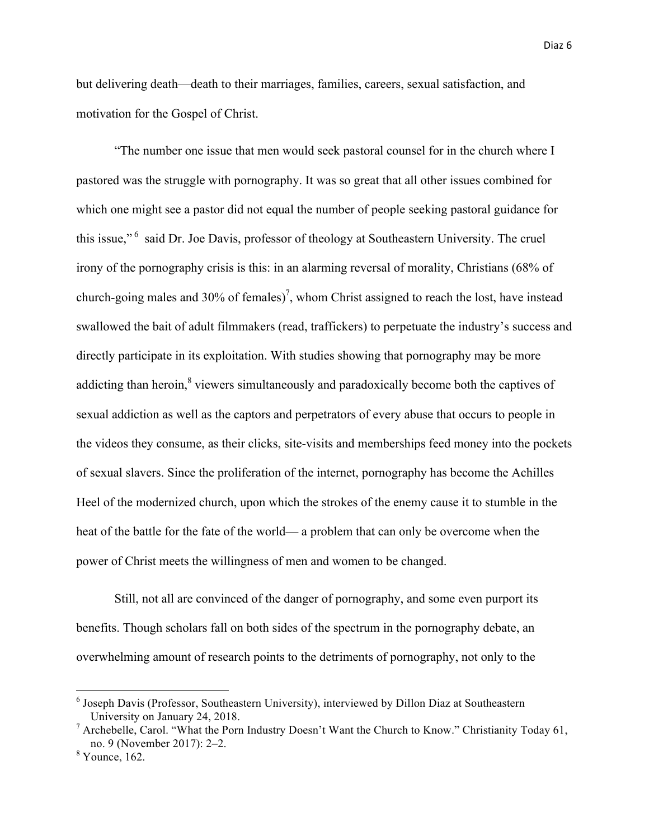but delivering death—death to their marriages, families, careers, sexual satisfaction, and motivation for the Gospel of Christ.

"The number one issue that men would seek pastoral counsel for in the church where I pastored was the struggle with pornography. It was so great that all other issues combined for which one might see a pastor did not equal the number of people seeking pastoral guidance for this issue,"<sup>6</sup> said Dr. Joe Davis, professor of theology at Southeastern University. The cruel irony of the pornography crisis is this: in an alarming reversal of morality, Christians (68% of church-going males and 30% of females)<sup>7</sup>, whom Christ assigned to reach the lost, have instead swallowed the bait of adult filmmakers (read, traffickers) to perpetuate the industry's success and directly participate in its exploitation. With studies showing that pornography may be more addicting than heroin,<sup>8</sup> viewers simultaneously and paradoxically become both the captives of sexual addiction as well as the captors and perpetrators of every abuse that occurs to people in the videos they consume, as their clicks, site-visits and memberships feed money into the pockets of sexual slavers. Since the proliferation of the internet, pornography has become the Achilles Heel of the modernized church, upon which the strokes of the enemy cause it to stumble in the heat of the battle for the fate of the world— a problem that can only be overcome when the power of Christ meets the willingness of men and women to be changed.

Still, not all are convinced of the danger of pornography, and some even purport its benefits. Though scholars fall on both sides of the spectrum in the pornography debate, an overwhelming amount of research points to the detriments of pornography, not only to the

 <sup>6</sup> Joseph Davis (Professor, Southeastern University), interviewed by Dillon Diaz at Southeastern University on January 24, 2018.

<sup>&</sup>lt;sup>7</sup> Archebelle, Carol. "What the Porn Industry Doesn't Want the Church to Know." Christianity Today 61, no. 9 (November 2017): 2–2.

 $8$  Younce, 162.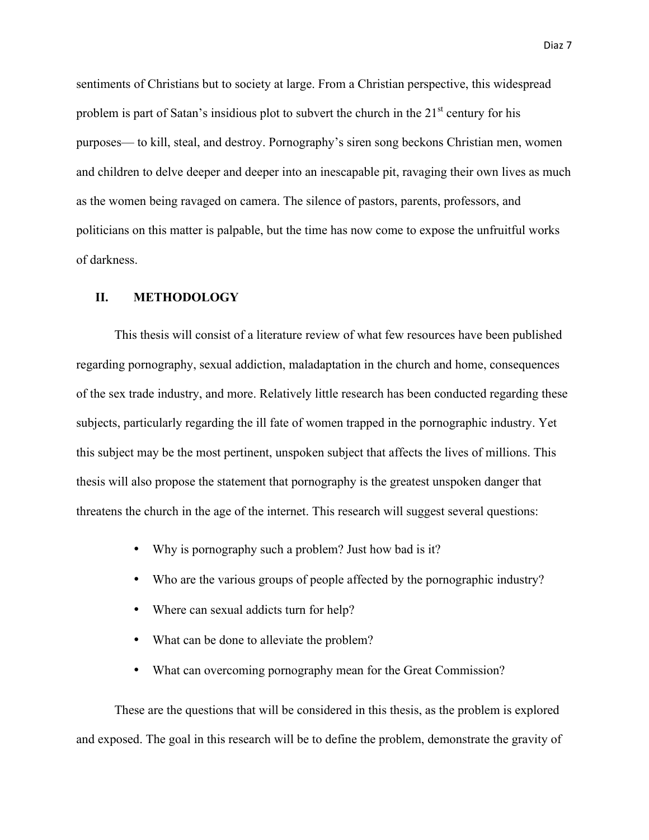sentiments of Christians but to society at large. From a Christian perspective, this widespread problem is part of Satan's insidious plot to subvert the church in the  $21<sup>st</sup>$  century for his purposes— to kill, steal, and destroy. Pornography's siren song beckons Christian men, women and children to delve deeper and deeper into an inescapable pit, ravaging their own lives as much as the women being ravaged on camera. The silence of pastors, parents, professors, and politicians on this matter is palpable, but the time has now come to expose the unfruitful works of darkness.

## **II. METHODOLOGY**

This thesis will consist of a literature review of what few resources have been published regarding pornography, sexual addiction, maladaptation in the church and home, consequences of the sex trade industry, and more. Relatively little research has been conducted regarding these subjects, particularly regarding the ill fate of women trapped in the pornographic industry. Yet this subject may be the most pertinent, unspoken subject that affects the lives of millions. This thesis will also propose the statement that pornography is the greatest unspoken danger that threatens the church in the age of the internet. This research will suggest several questions:

- Why is pornography such a problem? Just how bad is it?
- Who are the various groups of people affected by the pornographic industry?
- Where can sexual addicts turn for help?
- What can be done to alleviate the problem?
- What can overcoming pornography mean for the Great Commission?

These are the questions that will be considered in this thesis, as the problem is explored and exposed. The goal in this research will be to define the problem, demonstrate the gravity of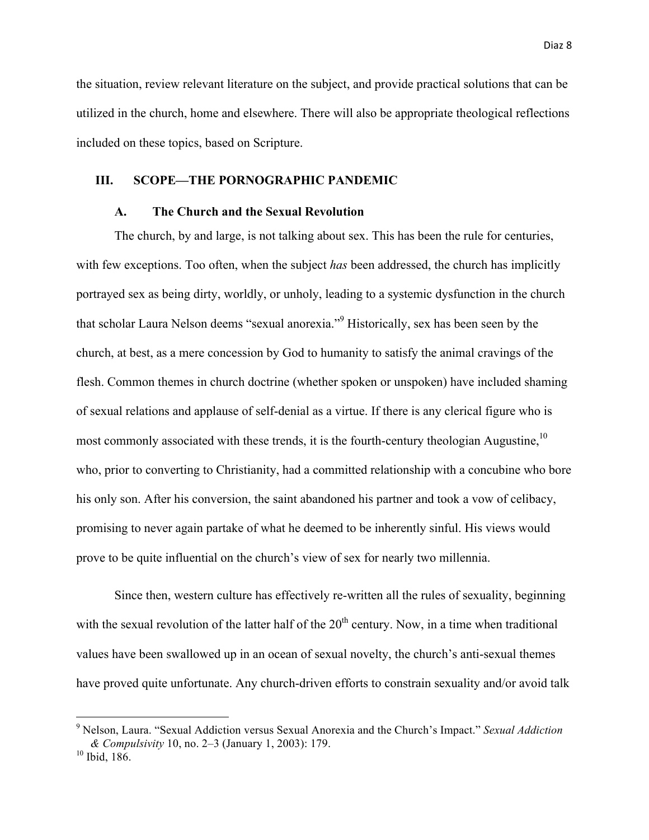the situation, review relevant literature on the subject, and provide practical solutions that can be utilized in the church, home and elsewhere. There will also be appropriate theological reflections included on these topics, based on Scripture.

## **III. SCOPE—THE PORNOGRAPHIC PANDEMIC**

## **A. The Church and the Sexual Revolution**

The church, by and large, is not talking about sex. This has been the rule for centuries, with few exceptions. Too often, when the subject *has* been addressed, the church has implicitly portrayed sex as being dirty, worldly, or unholy, leading to a systemic dysfunction in the church that scholar Laura Nelson deems "sexual anorexia."9 Historically, sex has been seen by the church, at best, as a mere concession by God to humanity to satisfy the animal cravings of the flesh. Common themes in church doctrine (whether spoken or unspoken) have included shaming of sexual relations and applause of self-denial as a virtue. If there is any clerical figure who is most commonly associated with these trends, it is the fourth-century theologian Augustine,  $10$ who, prior to converting to Christianity, had a committed relationship with a concubine who bore his only son. After his conversion, the saint abandoned his partner and took a vow of celibacy, promising to never again partake of what he deemed to be inherently sinful. His views would prove to be quite influential on the church's view of sex for nearly two millennia.

Since then, western culture has effectively re-written all the rules of sexuality, beginning with the sexual revolution of the latter half of the  $20<sup>th</sup>$  century. Now, in a time when traditional values have been swallowed up in an ocean of sexual novelty, the church's anti-sexual themes have proved quite unfortunate. Any church-driven efforts to constrain sexuality and/or avoid talk

 

<sup>9</sup> Nelson, Laura. "Sexual Addiction versus Sexual Anorexia and the Church's Impact." *Sexual Addiction & Compulsivity* 10, no. 2–3 (January 1, 2003): 179.

<sup>&</sup>lt;sup>10</sup> Ibid, 186.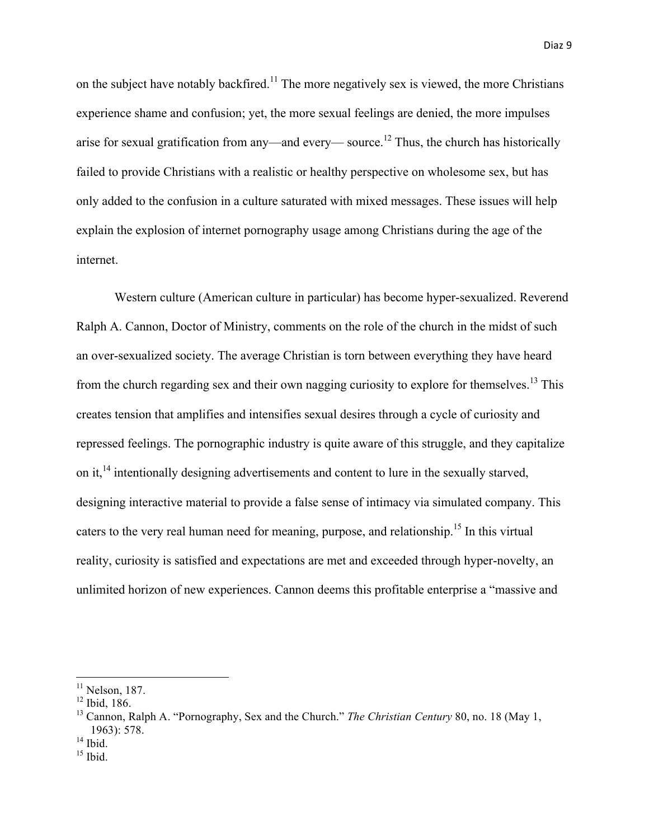on the subject have notably backfired.<sup>11</sup> The more negatively sex is viewed, the more Christians experience shame and confusion; yet, the more sexual feelings are denied, the more impulses arise for sexual gratification from any—and every— source.<sup>12</sup> Thus, the church has historically failed to provide Christians with a realistic or healthy perspective on wholesome sex, but has only added to the confusion in a culture saturated with mixed messages. These issues will help explain the explosion of internet pornography usage among Christians during the age of the internet.

Western culture (American culture in particular) has become hyper-sexualized. Reverend Ralph A. Cannon, Doctor of Ministry, comments on the role of the church in the midst of such an over-sexualized society. The average Christian is torn between everything they have heard from the church regarding sex and their own nagging curiosity to explore for themselves.<sup>13</sup> This creates tension that amplifies and intensifies sexual desires through a cycle of curiosity and repressed feelings. The pornographic industry is quite aware of this struggle, and they capitalize on it,<sup>14</sup> intentionally designing advertisements and content to lure in the sexually starved, designing interactive material to provide a false sense of intimacy via simulated company. This caters to the very real human need for meaning, purpose, and relationship.<sup>15</sup> In this virtual reality, curiosity is satisfied and expectations are met and exceeded through hyper-novelty, an unlimited horizon of new experiences. Cannon deems this profitable enterprise a "massive and

 $11$  Nelson, 187.

<sup>12</sup> Ibid, 186.

<sup>13</sup> Cannon, Ralph A. "Pornography, Sex and the Church." *The Christian Century* 80, no. 18 (May 1, 1963): 578.

 $14$  Ibid.

 $15$  Ibid.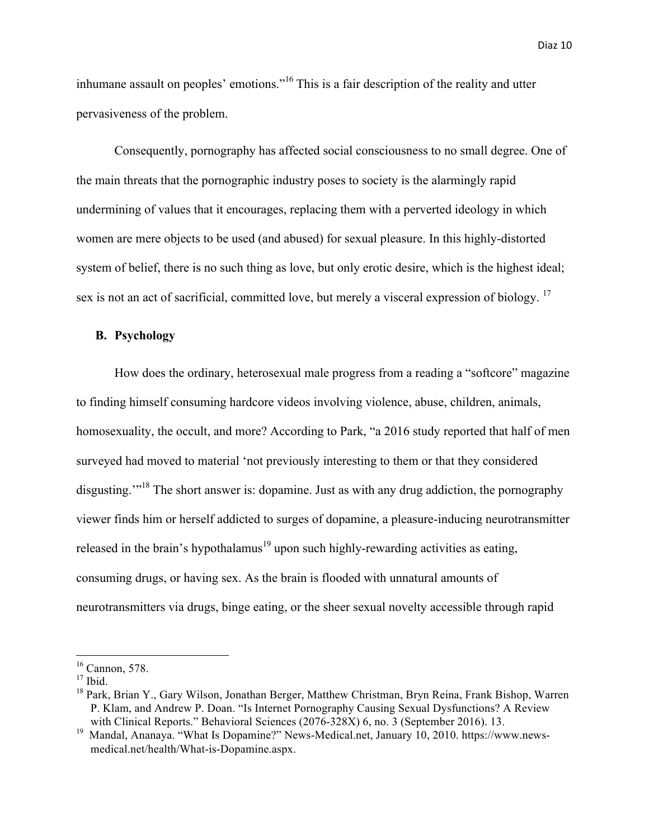inhumane assault on peoples' emotions."<sup>16</sup> This is a fair description of the reality and utter pervasiveness of the problem.

Consequently, pornography has affected social consciousness to no small degree. One of the main threats that the pornographic industry poses to society is the alarmingly rapid undermining of values that it encourages, replacing them with a perverted ideology in which women are mere objects to be used (and abused) for sexual pleasure. In this highly-distorted system of belief, there is no such thing as love, but only erotic desire, which is the highest ideal; sex is not an act of sacrificial, committed love, but merely a visceral expression of biology. <sup>17</sup>

## **B. Psychology**

How does the ordinary, heterosexual male progress from a reading a "softcore" magazine to finding himself consuming hardcore videos involving violence, abuse, children, animals, homosexuality, the occult, and more? According to Park, "a 2016 study reported that half of men surveyed had moved to material 'not previously interesting to them or that they considered disgusting."<sup>18</sup> The short answer is: dopamine. Just as with any drug addiction, the pornography viewer finds him or herself addicted to surges of dopamine, a pleasure-inducing neurotransmitter released in the brain's hypothalamus<sup>19</sup> upon such highly-rewarding activities as eating, consuming drugs, or having sex. As the brain is flooded with unnatural amounts of neurotransmitters via drugs, binge eating, or the sheer sexual novelty accessible through rapid

 $16$  Cannon, 578.

 $17$  Ibid.

<sup>&</sup>lt;sup>18</sup> Park, Brian Y., Gary Wilson, Jonathan Berger, Matthew Christman, Bryn Reina, Frank Bishop, Warren P. Klam, and Andrew P. Doan. "Is Internet Pornography Causing Sexual Dysfunctions? A Review with Clinical Reports." Behavioral Sciences (2076-328X) 6, no. 3 (September 2016). 13.

<sup>&</sup>lt;sup>19</sup> Mandal, Ananaya. "What Is Dopamine?" News-Medical.net, January 10, 2010. https://www.newsmedical.net/health/What-is-Dopamine.aspx.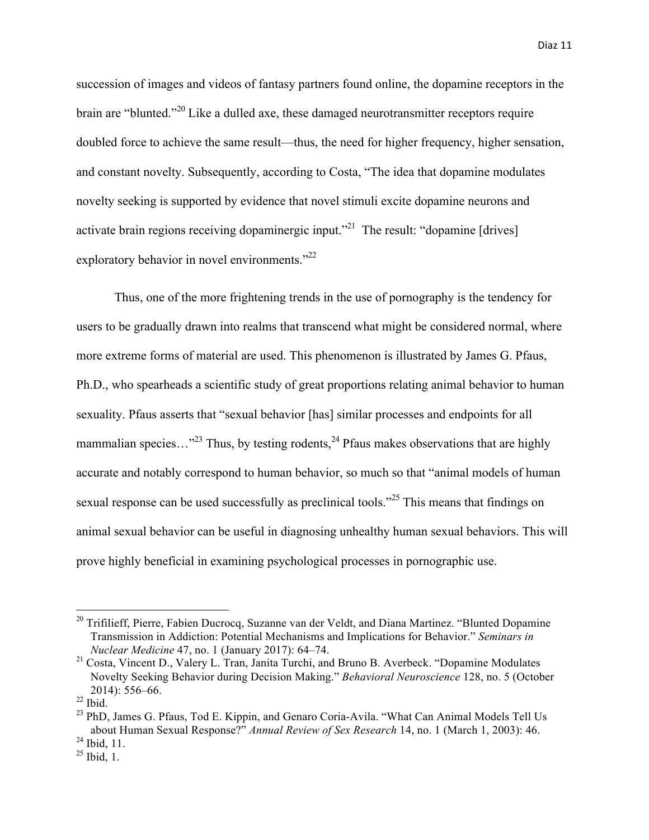succession of images and videos of fantasy partners found online, the dopamine receptors in the brain are "blunted."<sup>20</sup> Like a dulled axe, these damaged neurotransmitter receptors require doubled force to achieve the same result—thus, the need for higher frequency, higher sensation, and constant novelty. Subsequently, according to Costa, "The idea that dopamine modulates novelty seeking is supported by evidence that novel stimuli excite dopamine neurons and activate brain regions receiving dopaminergic input."<sup>21</sup> The result: "dopamine [drives] exploratory behavior in novel environments."<sup>22</sup>

Thus, one of the more frightening trends in the use of pornography is the tendency for users to be gradually drawn into realms that transcend what might be considered normal, where more extreme forms of material are used. This phenomenon is illustrated by James G. Pfaus, Ph.D., who spearheads a scientific study of great proportions relating animal behavior to human sexuality. Pfaus asserts that "sexual behavior [has] similar processes and endpoints for all mammalian species..."<sup>23</sup> Thus, by testing rodents,<sup>24</sup> Pfaus makes observations that are highly accurate and notably correspond to human behavior, so much so that "animal models of human sexual response can be used successfully as preclinical tools.<sup>225</sup> This means that findings on animal sexual behavior can be useful in diagnosing unhealthy human sexual behaviors. This will prove highly beneficial in examining psychological processes in pornographic use.

<u> 1989 - Johann Barn, mars eta bainar eta industrial eta baina eta baina eta baina eta baina eta baina eta bain</u>

 $20$  Trifilieff, Pierre, Fabien Ducrocq, Suzanne van der Veldt, and Diana Martinez. "Blunted Dopamine" Transmission in Addiction: Potential Mechanisms and Implications for Behavior." *Seminars in Nuclear Medicine* 47, no. 1 (January 2017): 64–74.

<sup>&</sup>lt;sup>21</sup> Costa, Vincent D., Valery L. Tran, Janita Turchi, and Bruno B. Averbeck. "Dopamine Modulates" Novelty Seeking Behavior during Decision Making." *Behavioral Neuroscience* 128, no. 5 (October 2014): 556–66.

 $22$  Ibid.

<sup>&</sup>lt;sup>23</sup> PhD, James G. Pfaus, Tod E. Kippin, and Genaro Coria-Avila. "What Can Animal Models Tell Us about Human Sexual Response?" *Annual Review of Sex Research* 14, no. 1 (March 1, 2003): 46.  $^{24}$  Ibid, 11.

 $^{25}$  Ibid, 1.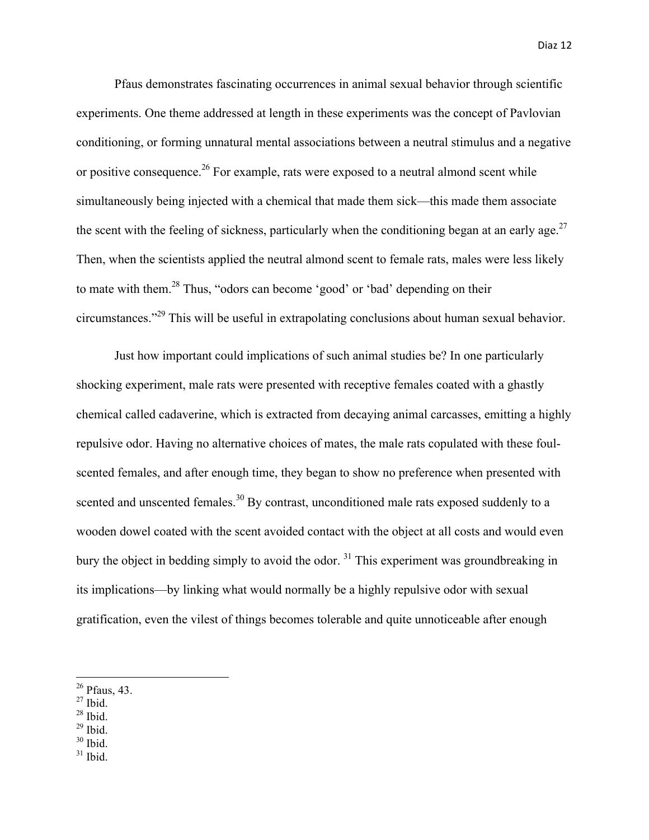Pfaus demonstrates fascinating occurrences in animal sexual behavior through scientific experiments. One theme addressed at length in these experiments was the concept of Pavlovian conditioning, or forming unnatural mental associations between a neutral stimulus and a negative or positive consequence.<sup>26</sup> For example, rats were exposed to a neutral almond scent while simultaneously being injected with a chemical that made them sick—this made them associate the scent with the feeling of sickness, particularly when the conditioning began at an early age. $^{27}$ Then, when the scientists applied the neutral almond scent to female rats, males were less likely to mate with them.<sup>28</sup> Thus, "odors can become 'good' or 'bad' depending on their circumstances."<sup>29</sup> This will be useful in extrapolating conclusions about human sexual behavior.

Just how important could implications of such animal studies be? In one particularly shocking experiment, male rats were presented with receptive females coated with a ghastly chemical called cadaverine, which is extracted from decaying animal carcasses, emitting a highly repulsive odor. Having no alternative choices of mates, the male rats copulated with these foulscented females, and after enough time, they began to show no preference when presented with scented and unscented females.<sup>30</sup> By contrast, unconditioned male rats exposed suddenly to a wooden dowel coated with the scent avoided contact with the object at all costs and would even bury the object in bedding simply to avoid the odor.  $31$  This experiment was groundbreaking in its implications—by linking what would normally be a highly repulsive odor with sexual gratification, even the vilest of things becomes tolerable and quite unnoticeable after enough

- $27$  Ibid.
- $28$  Ibid.
- $29$  Ibid.
- $30$  Ibid.
- $31$  Ibid.

 $26$  Pfaus, 43.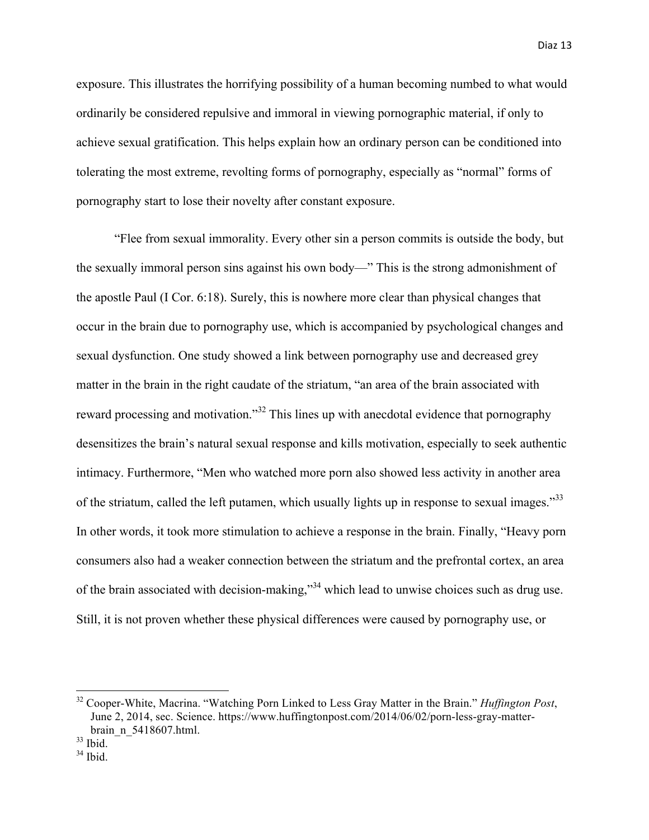exposure. This illustrates the horrifying possibility of a human becoming numbed to what would ordinarily be considered repulsive and immoral in viewing pornographic material, if only to achieve sexual gratification. This helps explain how an ordinary person can be conditioned into tolerating the most extreme, revolting forms of pornography, especially as "normal" forms of pornography start to lose their novelty after constant exposure.

"Flee from sexual immorality. Every other sin a person commits is outside the body, but the sexually immoral person sins against his own body—" This is the strong admonishment of the apostle Paul (I Cor. 6:18). Surely, this is nowhere more clear than physical changes that occur in the brain due to pornography use, which is accompanied by psychological changes and sexual dysfunction. One study showed a link between pornography use and decreased grey matter in the brain in the right caudate of the striatum, "an area of the brain associated with reward processing and motivation."<sup>32</sup> This lines up with anecdotal evidence that pornography desensitizes the brain's natural sexual response and kills motivation, especially to seek authentic intimacy. Furthermore, "Men who watched more porn also showed less activity in another area of the striatum, called the left putamen, which usually lights up in response to sexual images."<sup>33</sup> In other words, it took more stimulation to achieve a response in the brain. Finally, "Heavy porn consumers also had a weaker connection between the striatum and the prefrontal cortex, an area of the brain associated with decision-making,"34 which lead to unwise choices such as drug use. Still, it is not proven whether these physical differences were caused by pornography use, or

 <sup>32</sup> Cooper-White, Macrina. "Watching Porn Linked to Less Gray Matter in the Brain." *Huffington Post*, June 2, 2014, sec. Science. https://www.huffingtonpost.com/2014/06/02/porn-less-gray-matterbrain\_n\_5418607.html.

 $33$  Ibid.

 $34$  Ibid.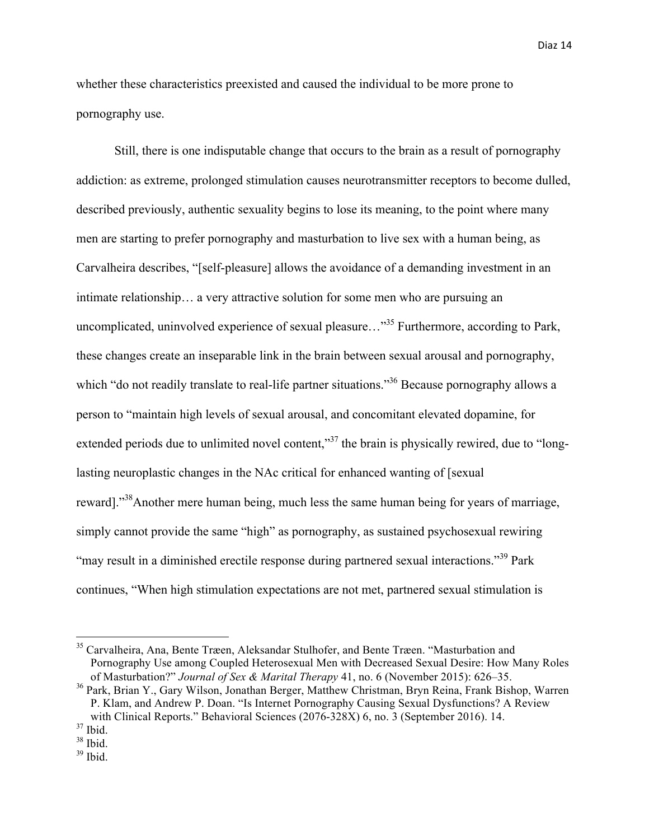whether these characteristics preexisted and caused the individual to be more prone to pornography use.

Still, there is one indisputable change that occurs to the brain as a result of pornography addiction: as extreme, prolonged stimulation causes neurotransmitter receptors to become dulled, described previously, authentic sexuality begins to lose its meaning, to the point where many men are starting to prefer pornography and masturbation to live sex with a human being, as Carvalheira describes, "[self-pleasure] allows the avoidance of a demanding investment in an intimate relationship… a very attractive solution for some men who are pursuing an uncomplicated, uninvolved experience of sexual pleasure..."<sup>35</sup> Furthermore, according to Park, these changes create an inseparable link in the brain between sexual arousal and pornography, which "do not readily translate to real-life partner situations."<sup>36</sup> Because pornography allows a person to "maintain high levels of sexual arousal, and concomitant elevated dopamine, for extended periods due to unlimited novel content,"<sup>37</sup> the brain is physically rewired, due to "longlasting neuroplastic changes in the NAc critical for enhanced wanting of [sexual reward]."<sup>38</sup>Another mere human being, much less the same human being for years of marriage, simply cannot provide the same "high" as pornography, as sustained psychosexual rewiring "may result in a diminished erectile response during partnered sexual interactions."<sup>39</sup> Park continues, "When high stimulation expectations are not met, partnered sexual stimulation is

<sup>&</sup>lt;sup>35</sup> Carvalheira, Ana, Bente Træen, Aleksandar Stulhofer, and Bente Træen. "Masturbation and Pornography Use among Coupled Heterosexual Men with Decreased Sexual Desire: How Many Roles of Masturbation?" *Journal of Sex & Marital Therapy* 41, no. 6 (November 2015): 626–35.

<sup>36</sup> Park, Brian Y., Gary Wilson, Jonathan Berger, Matthew Christman, Bryn Reina, Frank Bishop, Warren P. Klam, and Andrew P. Doan. "Is Internet Pornography Causing Sexual Dysfunctions? A Review with Clinical Reports." Behavioral Sciences (2076-328X) 6, no. 3 (September 2016). 14.

 $37$  Ibid.

 $38$  Ibid.

<sup>39</sup> Ibid.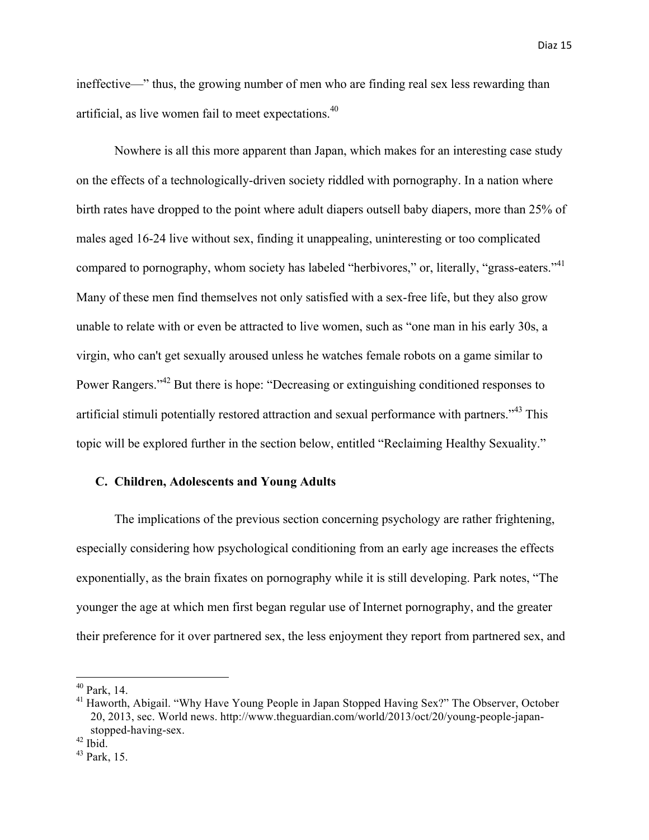ineffective—" thus, the growing number of men who are finding real sex less rewarding than artificial, as live women fail to meet expectations. 40

Nowhere is all this more apparent than Japan, which makes for an interesting case study on the effects of a technologically-driven society riddled with pornography. In a nation where birth rates have dropped to the point where adult diapers outsell baby diapers, more than 25% of males aged 16-24 live without sex, finding it unappealing, uninteresting or too complicated compared to pornography, whom society has labeled "herbivores," or, literally, "grass-eaters."<sup>41</sup> Many of these men find themselves not only satisfied with a sex-free life, but they also grow unable to relate with or even be attracted to live women, such as "one man in his early 30s, a virgin, who can't get sexually aroused unless he watches female robots on a game similar to Power Rangers."<sup>42</sup> But there is hope: "Decreasing or extinguishing conditioned responses to artificial stimuli potentially restored attraction and sexual performance with partners."<sup>43</sup> This topic will be explored further in the section below, entitled "Reclaiming Healthy Sexuality."

# **C. Children, Adolescents and Young Adults**

The implications of the previous section concerning psychology are rather frightening, especially considering how psychological conditioning from an early age increases the effects exponentially, as the brain fixates on pornography while it is still developing. Park notes, "The younger the age at which men first began regular use of Internet pornography, and the greater their preference for it over partnered sex, the less enjoyment they report from partnered sex, and

 $40$  Park, 14.

<sup>&</sup>lt;sup>41</sup> Haworth, Abigail. "Why Have Young People in Japan Stopped Having Sex?" The Observer, October 20, 2013, sec. World news. http://www.theguardian.com/world/2013/oct/20/young-people-japanstopped-having-sex.

 $42$  Ibid.

 $43$  Park, 15.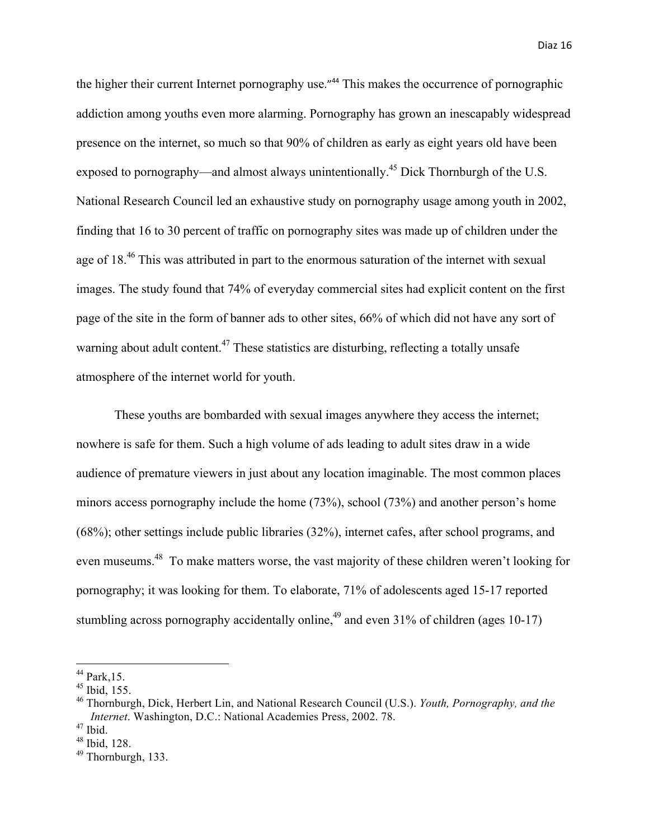the higher their current Internet pornography use."<sup>44</sup> This makes the occurrence of pornographic addiction among youths even more alarming. Pornography has grown an inescapably widespread presence on the internet, so much so that 90% of children as early as eight years old have been exposed to pornography—and almost always unintentionally.<sup>45</sup> Dick Thornburgh of the U.S. National Research Council led an exhaustive study on pornography usage among youth in 2002, finding that 16 to 30 percent of traffic on pornography sites was made up of children under the age of 18.<sup>46</sup> This was attributed in part to the enormous saturation of the internet with sexual images. The study found that 74% of everyday commercial sites had explicit content on the first page of the site in the form of banner ads to other sites, 66% of which did not have any sort of warning about adult content.<sup>47</sup> These statistics are disturbing, reflecting a totally unsafe atmosphere of the internet world for youth.

These youths are bombarded with sexual images anywhere they access the internet; nowhere is safe for them. Such a high volume of ads leading to adult sites draw in a wide audience of premature viewers in just about any location imaginable. The most common places minors access pornography include the home (73%), school (73%) and another person's home (68%); other settings include public libraries (32%), internet cafes, after school programs, and even museums.<sup>48</sup> To make matters worse, the vast majority of these children weren't looking for pornography; it was looking for them. To elaborate, 71% of adolescents aged 15-17 reported stumbling across pornography accidentally online,<sup>49</sup> and even  $31\%$  of children (ages 10-17)

<u> 1989 - Johann Barn, mars eta bainar eta industrial eta baina eta baina eta baina eta baina eta baina eta bain</u>

 $^{44}$  Park, 15.

 $45$  Ibid, 155.

<sup>46</sup> Thornburgh, Dick, Herbert Lin, and National Research Council (U.S.). *Youth, Pornography, and the Internet*. Washington, D.C.: National Academies Press, 2002. 78.

<sup>47</sup> Ibid.

 $48$  Ibid, 128.

<sup>49</sup> Thornburgh, 133.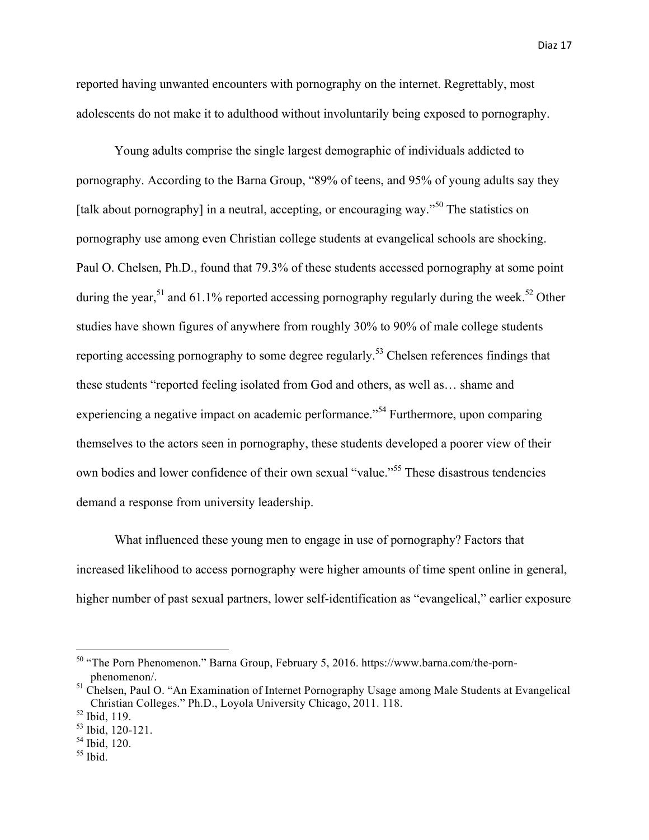reported having unwanted encounters with pornography on the internet. Regrettably, most adolescents do not make it to adulthood without involuntarily being exposed to pornography.

Young adults comprise the single largest demographic of individuals addicted to pornography. According to the Barna Group, "89% of teens, and 95% of young adults say they [talk about pornography] in a neutral, accepting, or encouraging way."<sup>50</sup> The statistics on pornography use among even Christian college students at evangelical schools are shocking. Paul O. Chelsen, Ph.D., found that 79.3% of these students accessed pornography at some point during the year,<sup>51</sup> and 61.1% reported accessing pornography regularly during the week.<sup>52</sup> Other studies have shown figures of anywhere from roughly 30% to 90% of male college students reporting accessing pornography to some degree regularly.<sup>53</sup> Chelsen references findings that these students "reported feeling isolated from God and others, as well as… shame and experiencing a negative impact on academic performance."<sup>54</sup> Furthermore, upon comparing themselves to the actors seen in pornography, these students developed a poorer view of their own bodies and lower confidence of their own sexual "value."<sup>55</sup> These disastrous tendencies demand a response from university leadership.

What influenced these young men to engage in use of pornography? Factors that increased likelihood to access pornography were higher amounts of time spent online in general, higher number of past sexual partners, lower self-identification as "evangelical," earlier exposure

 

<sup>50</sup> "The Porn Phenomenon." Barna Group, February 5, 2016. https://www.barna.com/the-pornphenomenon/.

<sup>&</sup>lt;sup>51</sup> Chelsen, Paul O. "An Examination of Internet Pornography Usage among Male Students at Evangelical Christian Colleges." Ph.D., Loyola University Chicago, 2011. 118.

<sup>52</sup> Ibid, 119.

<sup>53</sup> Ibid, 120-121.

 $54$  Ibid, 120.

 $55$  Ibid.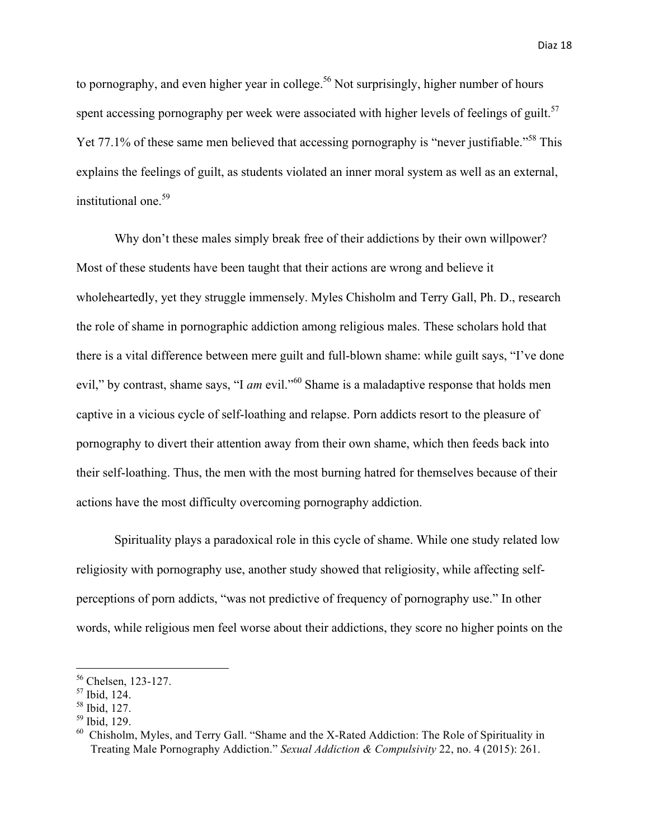to pornography, and even higher year in college.<sup>56</sup> Not surprisingly, higher number of hours spent accessing pornography per week were associated with higher levels of feelings of guilt.<sup>57</sup> Yet 77.1% of these same men believed that accessing pornography is "never justifiable."<sup>58</sup> This explains the feelings of guilt, as students violated an inner moral system as well as an external, institutional one.<sup>59</sup>

Why don't these males simply break free of their addictions by their own willpower? Most of these students have been taught that their actions are wrong and believe it wholeheartedly, yet they struggle immensely. Myles Chisholm and Terry Gall, Ph. D., research the role of shame in pornographic addiction among religious males. These scholars hold that there is a vital difference between mere guilt and full-blown shame: while guilt says, "I've done evil," by contrast, shame says, "I *am* evil."<sup>60</sup> Shame is a maladaptive response that holds men captive in a vicious cycle of self-loathing and relapse. Porn addicts resort to the pleasure of pornography to divert their attention away from their own shame, which then feeds back into their self-loathing. Thus, the men with the most burning hatred for themselves because of their actions have the most difficulty overcoming pornography addiction.

Spirituality plays a paradoxical role in this cycle of shame. While one study related low religiosity with pornography use, another study showed that religiosity, while affecting selfperceptions of porn addicts, "was not predictive of frequency of pornography use." In other words, while religious men feel worse about their addictions, they score no higher points on the

<sup>56</sup> Chelsen, 123-127.

<sup>57</sup> Ibid, 124.

<sup>58</sup> Ibid, 127.

<sup>59</sup> Ibid, 129.

<sup>&</sup>lt;sup>60</sup> Chisholm, Myles, and Terry Gall. "Shame and the X-Rated Addiction: The Role of Spirituality in Treating Male Pornography Addiction." *Sexual Addiction & Compulsivity* 22, no. 4 (2015): 261.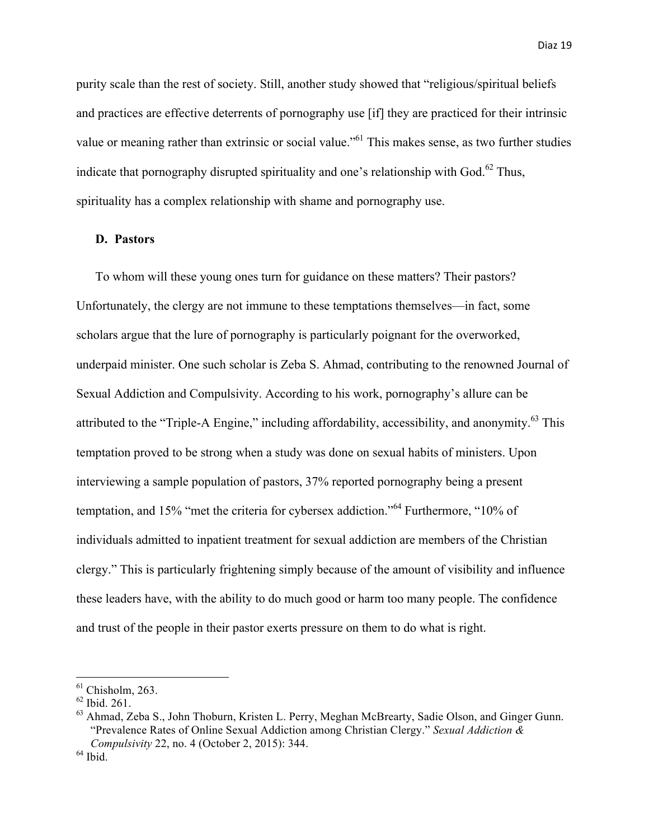purity scale than the rest of society. Still, another study showed that "religious/spiritual beliefs and practices are effective deterrents of pornography use [if] they are practiced for their intrinsic value or meaning rather than extrinsic or social value."<sup>61</sup> This makes sense, as two further studies indicate that pornography disrupted spirituality and one's relationship with God. $^{62}$  Thus, spirituality has a complex relationship with shame and pornography use.

# **D. Pastors**

To whom will these young ones turn for guidance on these matters? Their pastors? Unfortunately, the clergy are not immune to these temptations themselves—in fact, some scholars argue that the lure of pornography is particularly poignant for the overworked, underpaid minister. One such scholar is Zeba S. Ahmad, contributing to the renowned Journal of Sexual Addiction and Compulsivity. According to his work, pornography's allure can be attributed to the "Triple-A Engine," including affordability, accessibility, and anonymity.<sup>63</sup> This temptation proved to be strong when a study was done on sexual habits of ministers. Upon interviewing a sample population of pastors, 37% reported pornography being a present temptation, and 15% "met the criteria for cybersex addiction."<sup>64</sup> Furthermore, "10% of individuals admitted to inpatient treatment for sexual addiction are members of the Christian clergy." This is particularly frightening simply because of the amount of visibility and influence these leaders have, with the ability to do much good or harm too many people. The confidence and trust of the people in their pastor exerts pressure on them to do what is right.

 $61$  Chisholm, 263.

<sup>62</sup> Ibid. 261.

<sup>&</sup>lt;sup>63</sup> Ahmad, Zeba S., John Thoburn, Kristen L. Perry, Meghan McBrearty, Sadie Olson, and Ginger Gunn. "Prevalence Rates of Online Sexual Addiction among Christian Clergy." *Sexual Addiction & Compulsivity* 22, no. 4 (October 2, 2015): 344.

 $<sup>64</sup>$  Ibid.</sup>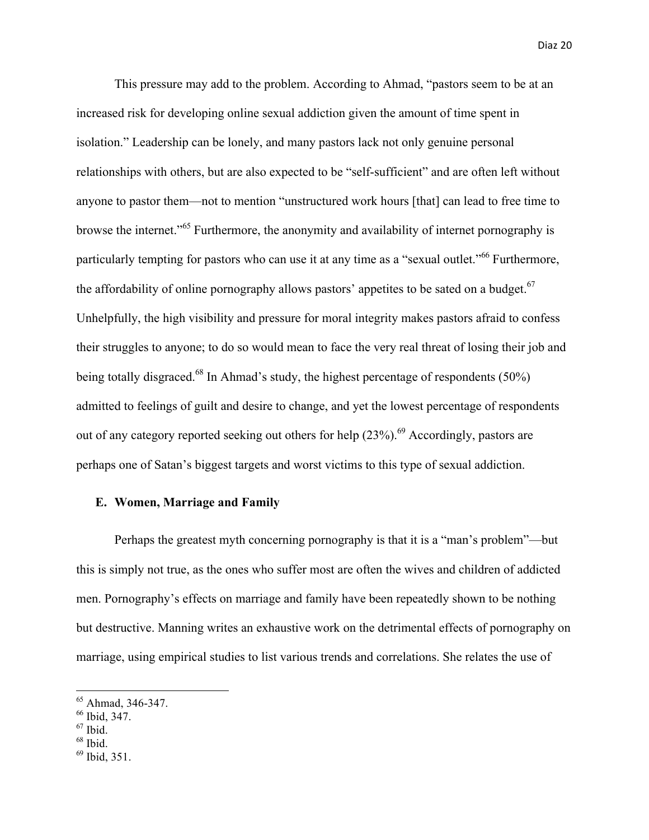This pressure may add to the problem. According to Ahmad, "pastors seem to be at an increased risk for developing online sexual addiction given the amount of time spent in isolation." Leadership can be lonely, and many pastors lack not only genuine personal relationships with others, but are also expected to be "self-sufficient" and are often left without anyone to pastor them—not to mention "unstructured work hours [that] can lead to free time to browse the internet."<sup>65</sup> Furthermore, the anonymity and availability of internet pornography is particularly tempting for pastors who can use it at any time as a "sexual outlet."<sup>66</sup> Furthermore, the affordability of online pornography allows pastors' appetites to be sated on a budget.<sup>67</sup> Unhelpfully, the high visibility and pressure for moral integrity makes pastors afraid to confess their struggles to anyone; to do so would mean to face the very real threat of losing their job and being totally disgraced.<sup>68</sup> In Ahmad's study, the highest percentage of respondents (50%) admitted to feelings of guilt and desire to change, and yet the lowest percentage of respondents out of any category reported seeking out others for help  $(23\%)$ .<sup>69</sup> Accordingly, pastors are perhaps one of Satan's biggest targets and worst victims to this type of sexual addiction.

## **E. Women, Marriage and Family**

Perhaps the greatest myth concerning pornography is that it is a "man's problem"—but this is simply not true, as the ones who suffer most are often the wives and children of addicted men. Pornography's effects on marriage and family have been repeatedly shown to be nothing but destructive. Manning writes an exhaustive work on the detrimental effects of pornography on marriage, using empirical studies to list various trends and correlations. She relates the use of

<sup>&</sup>lt;sup>65</sup> Ahmad, 346-347.

<sup>66</sup> Ibid, 347.

 $67$  Ibid.

 $68$  Ibid.

 $^{69}$  Ibid, 351.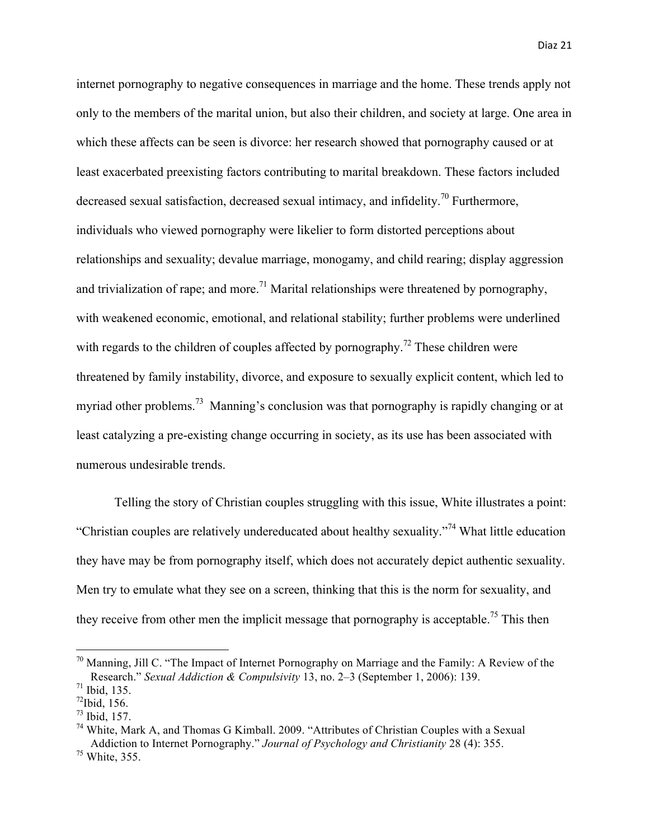internet pornography to negative consequences in marriage and the home. These trends apply not only to the members of the marital union, but also their children, and society at large. One area in which these affects can be seen is divorce: her research showed that pornography caused or at least exacerbated preexisting factors contributing to marital breakdown. These factors included decreased sexual satisfaction, decreased sexual intimacy, and infidelity.<sup>70</sup> Furthermore, individuals who viewed pornography were likelier to form distorted perceptions about relationships and sexuality; devalue marriage, monogamy, and child rearing; display aggression and trivialization of rape; and more.<sup>71</sup> Marital relationships were threatened by pornography, with weakened economic, emotional, and relational stability; further problems were underlined with regards to the children of couples affected by pornography.<sup>72</sup> These children were threatened by family instability, divorce, and exposure to sexually explicit content, which led to myriad other problems.<sup>73</sup> Manning's conclusion was that pornography is rapidly changing or at least catalyzing a pre-existing change occurring in society, as its use has been associated with numerous undesirable trends.

Telling the story of Christian couples struggling with this issue, White illustrates a point: "Christian couples are relatively undereducated about healthy sexuality."<sup>74</sup> What little education they have may be from pornography itself, which does not accurately depict authentic sexuality. Men try to emulate what they see on a screen, thinking that this is the norm for sexuality, and they receive from other men the implicit message that pornography is acceptable.<sup>75</sup> This then

 

 $70$  Manning, Jill C. "The Impact of Internet Pornography on Marriage and the Family: A Review of the Research." *Sexual Addiction & Compulsivity* 13, no. 2–3 (September 1, 2006): 139.

<sup>71</sup> Ibid, 135.

 $^{72}$ Ibid, 156.

<sup>73</sup> Ibid, 157.

 $74$  White, Mark A, and Thomas G Kimball. 2009. "Attributes of Christian Couples with a Sexual Addiction to Internet Pornography." *Journal of Psychology and Christianity* 28 (4): 355. <sup>75</sup> White, 355.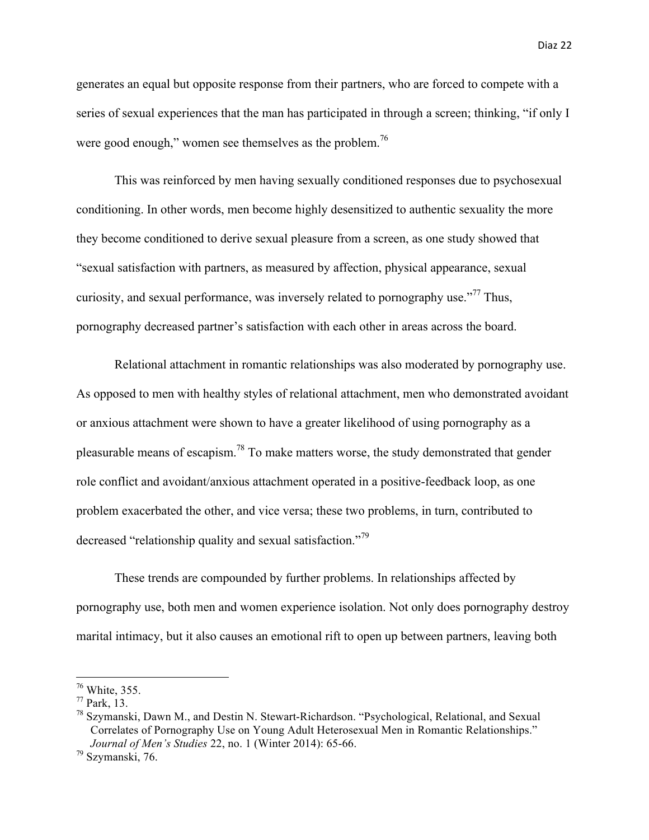generates an equal but opposite response from their partners, who are forced to compete with a series of sexual experiences that the man has participated in through a screen; thinking, "if only I were good enough," women see themselves as the problem.<sup>76</sup>

This was reinforced by men having sexually conditioned responses due to psychosexual conditioning. In other words, men become highly desensitized to authentic sexuality the more they become conditioned to derive sexual pleasure from a screen, as one study showed that "sexual satisfaction with partners, as measured by affection, physical appearance, sexual curiosity, and sexual performance, was inversely related to pornography use.<sup> $377$ </sup> Thus, pornography decreased partner's satisfaction with each other in areas across the board.

Relational attachment in romantic relationships was also moderated by pornography use. As opposed to men with healthy styles of relational attachment, men who demonstrated avoidant or anxious attachment were shown to have a greater likelihood of using pornography as a pleasurable means of escapism.78 To make matters worse, the study demonstrated that gender role conflict and avoidant/anxious attachment operated in a positive-feedback loop, as one problem exacerbated the other, and vice versa; these two problems, in turn, contributed to decreased "relationship quality and sexual satisfaction."<sup>79</sup>

These trends are compounded by further problems. In relationships affected by pornography use, both men and women experience isolation. Not only does pornography destroy marital intimacy, but it also causes an emotional rift to open up between partners, leaving both

 $76$  White, 355.

 $77$  Park, 13.

<sup>&</sup>lt;sup>78</sup> Szymanski, Dawn M., and Destin N. Stewart-Richardson. "Psychological, Relational, and Sexual Correlates of Pornography Use on Young Adult Heterosexual Men in Romantic Relationships." *Journal of Men's Studies* 22, no. 1 (Winter 2014): 65-66.

<sup>79</sup> Szymanski, 76.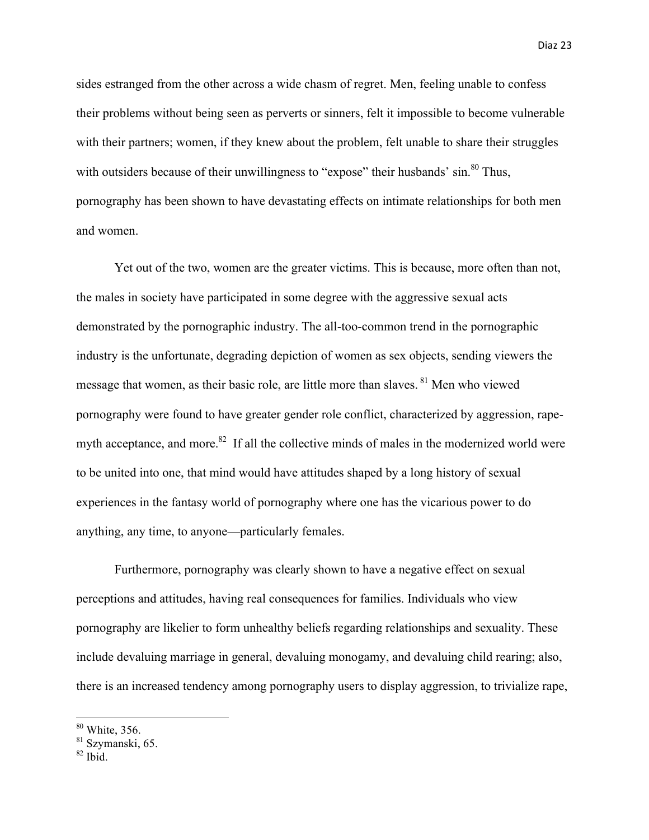sides estranged from the other across a wide chasm of regret. Men, feeling unable to confess their problems without being seen as perverts or sinners, felt it impossible to become vulnerable with their partners; women, if they knew about the problem, felt unable to share their struggles with outsiders because of their unwillingness to "expose" their husbands' sin.<sup>80</sup> Thus, pornography has been shown to have devastating effects on intimate relationships for both men and women.

Yet out of the two, women are the greater victims. This is because, more often than not, the males in society have participated in some degree with the aggressive sexual acts demonstrated by the pornographic industry. The all-too-common trend in the pornographic industry is the unfortunate, degrading depiction of women as sex objects, sending viewers the message that women, as their basic role, are little more than slaves. <sup>81</sup> Men who viewed pornography were found to have greater gender role conflict, characterized by aggression, rapemyth acceptance, and more. $82$  If all the collective minds of males in the modernized world were to be united into one, that mind would have attitudes shaped by a long history of sexual experiences in the fantasy world of pornography where one has the vicarious power to do anything, any time, to anyone—particularly females.

Furthermore, pornography was clearly shown to have a negative effect on sexual perceptions and attitudes, having real consequences for families. Individuals who view pornography are likelier to form unhealthy beliefs regarding relationships and sexuality. These include devaluing marriage in general, devaluing monogamy, and devaluing child rearing; also, there is an increased tendency among pornography users to display aggression, to trivialize rape,

 

<sup>80</sup> White, 356.

<sup>&</sup>lt;sup>81</sup> Szymanski, 65.

 $82$  Ibid.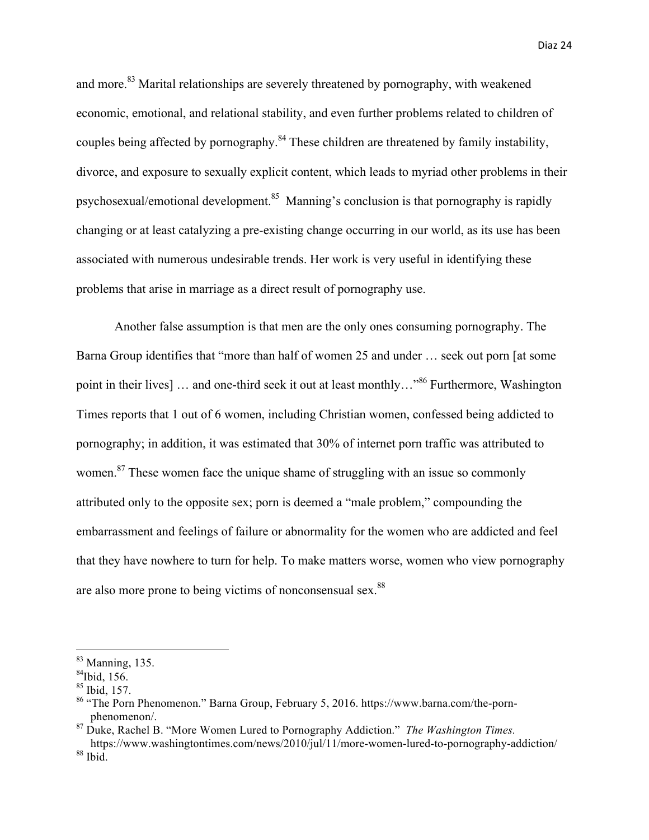and more.<sup>83</sup> Marital relationships are severely threatened by pornography, with weakened economic, emotional, and relational stability, and even further problems related to children of couples being affected by pornography.<sup>84</sup> These children are threatened by family instability, divorce, and exposure to sexually explicit content, which leads to myriad other problems in their psychosexual/emotional development.85 Manning's conclusion is that pornography is rapidly changing or at least catalyzing a pre-existing change occurring in our world, as its use has been associated with numerous undesirable trends. Her work is very useful in identifying these problems that arise in marriage as a direct result of pornography use.

Another false assumption is that men are the only ones consuming pornography. The Barna Group identifies that "more than half of women 25 and under … seek out porn [at some point in their lives] ... and one-third seek it out at least monthly..."<sup>86</sup> Furthermore, Washington Times reports that 1 out of 6 women, including Christian women, confessed being addicted to pornography; in addition, it was estimated that 30% of internet porn traffic was attributed to women.<sup>87</sup> These women face the unique shame of struggling with an issue so commonly attributed only to the opposite sex; porn is deemed a "male problem," compounding the embarrassment and feelings of failure or abnormality for the women who are addicted and feel that they have nowhere to turn for help. To make matters worse, women who view pornography are also more prone to being victims of nonconsensual sex.<sup>88</sup>

 

 $83$  Manning, 135.

 $^{84}$ Ibid, 156.

 $85$  Ibid, 157.

<sup>&</sup>lt;sup>86</sup> "The Porn Phenomenon." Barna Group, February 5, 2016. https://www.barna.com/the-pornphenomenon/.

<sup>87</sup> Duke, Rachel B. "More Women Lured to Pornography Addiction." *The Washington Times.* 

https://www.washingtontimes.com/news/2010/jul/11/more-women-lured-to-pornography-addiction/  $88$  Ibid.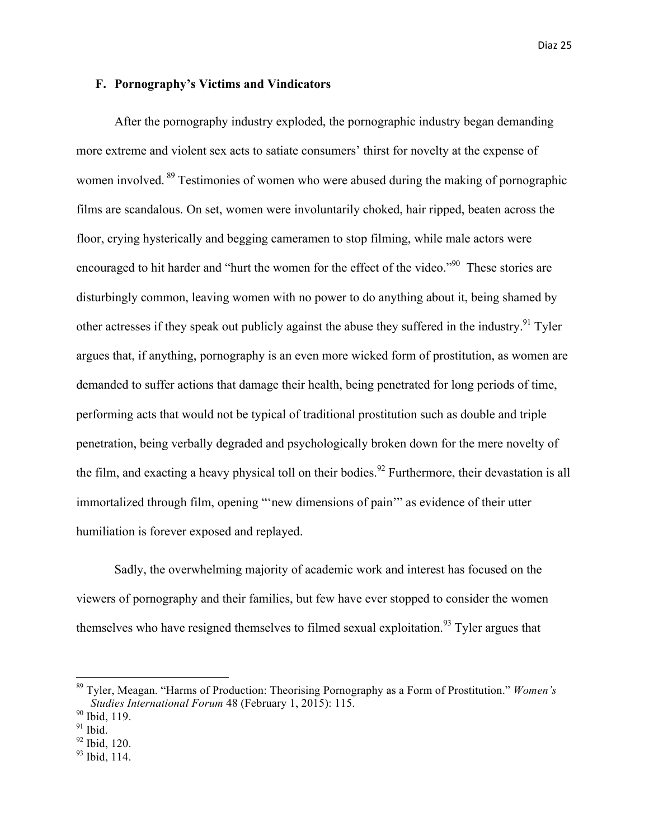#### **F. Pornography's Victims and Vindicators**

After the pornography industry exploded, the pornographic industry began demanding more extreme and violent sex acts to satiate consumers' thirst for novelty at the expense of women involved. <sup>89</sup> Testimonies of women who were abused during the making of pornographic films are scandalous. On set, women were involuntarily choked, hair ripped, beaten across the floor, crying hysterically and begging cameramen to stop filming, while male actors were encouraged to hit harder and "hurt the women for the effect of the video."<sup>90</sup> These stories are disturbingly common, leaving women with no power to do anything about it, being shamed by other actresses if they speak out publicly against the abuse they suffered in the industry.<sup>91</sup> Tyler argues that, if anything, pornography is an even more wicked form of prostitution, as women are demanded to suffer actions that damage their health, being penetrated for long periods of time, performing acts that would not be typical of traditional prostitution such as double and triple penetration, being verbally degraded and psychologically broken down for the mere novelty of the film, and exacting a heavy physical toll on their bodies.<sup>92</sup> Furthermore, their devastation is all immortalized through film, opening "'new dimensions of pain'" as evidence of their utter humiliation is forever exposed and replayed.

Sadly, the overwhelming majority of academic work and interest has focused on the viewers of pornography and their families, but few have ever stopped to consider the women themselves who have resigned themselves to filmed sexual exploitation.<sup>93</sup> Tyler argues that

<sup>89</sup> Tyler, Meagan. "Harms of Production: Theorising Pornography as a Form of Prostitution." *Women's Studies International Forum* 48 (February 1, 2015): 115.

<sup>90</sup> Ibid, 119.

 $91$  Ibid.

 $92$  Ibid, 120.

 $93$  Ibid, 114.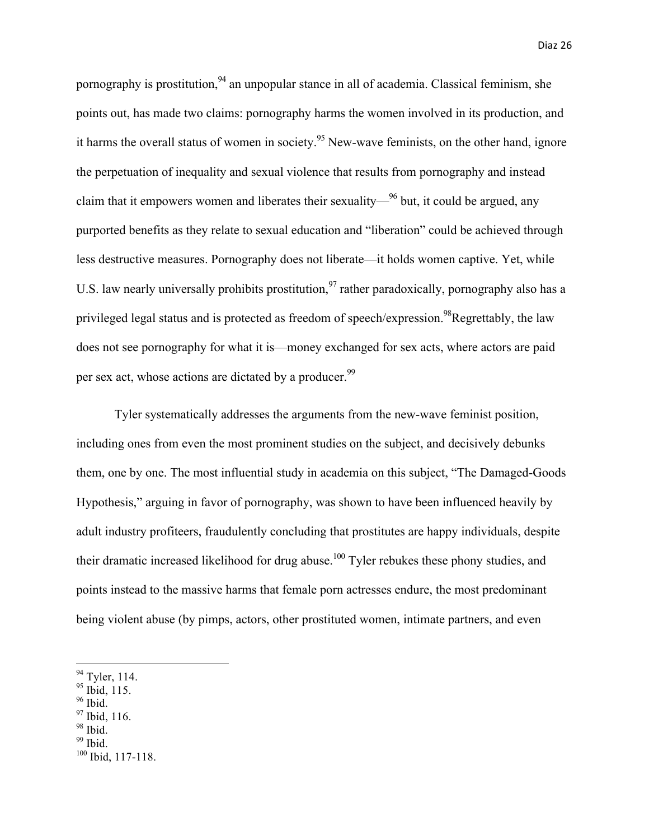pornography is prostitution,  $94$  an unpopular stance in all of academia. Classical feminism, she points out, has made two claims: pornography harms the women involved in its production, and it harms the overall status of women in society.<sup>95</sup> New-wave feminists, on the other hand, ignore the perpetuation of inequality and sexual violence that results from pornography and instead claim that it empowers women and liberates their sexuality— $96$  but, it could be argued, any purported benefits as they relate to sexual education and "liberation" could be achieved through less destructive measures. Pornography does not liberate—it holds women captive. Yet, while U.S. law nearly universally prohibits prostitution,  $97$  rather paradoxically, pornography also has a privileged legal status and is protected as freedom of speech/expression.<sup>98</sup>Regrettably, the law does not see pornography for what it is—money exchanged for sex acts, where actors are paid per sex act, whose actions are dictated by a producer.<sup>99</sup>

Tyler systematically addresses the arguments from the new-wave feminist position, including ones from even the most prominent studies on the subject, and decisively debunks them, one by one. The most influential study in academia on this subject, "The Damaged-Goods Hypothesis," arguing in favor of pornography, was shown to have been influenced heavily by adult industry profiteers, fraudulently concluding that prostitutes are happy individuals, despite their dramatic increased likelihood for drug abuse.<sup>100</sup> Tyler rebukes these phony studies, and points instead to the massive harms that female porn actresses endure, the most predominant being violent abuse (by pimps, actors, other prostituted women, intimate partners, and even

<u> 1989 - Johann Barn, mars eta bainar eta industrial eta baina eta baina eta baina eta baina eta baina eta bain</u>

- <sup>96</sup> Ibid.
- <sup>97</sup> Ibid, 116.
- 98 Ibid.
- $99$  Ibid.

 $94$  Tyler, 114.

<sup>&</sup>lt;sup>95</sup> Ibid, 115.

 $100$  Ibid, 117-118.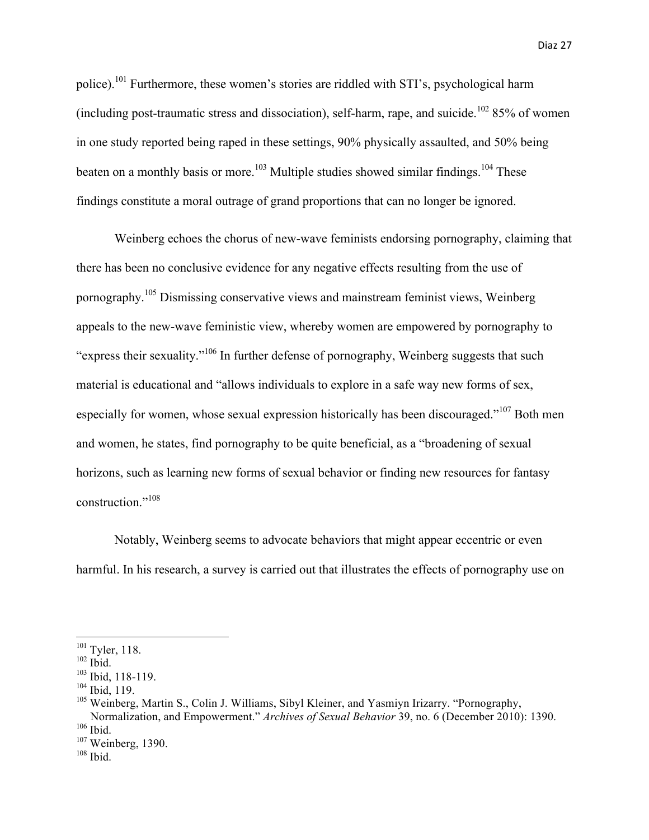police).101 Furthermore, these women's stories are riddled with STI's, psychological harm (including post-traumatic stress and dissociation), self-harm, rape, and suicide.<sup>102</sup> 85% of women in one study reported being raped in these settings, 90% physically assaulted, and 50% being beaten on a monthly basis or more.<sup>103</sup> Multiple studies showed similar findings.<sup>104</sup> These findings constitute a moral outrage of grand proportions that can no longer be ignored.

Weinberg echoes the chorus of new-wave feminists endorsing pornography, claiming that there has been no conclusive evidence for any negative effects resulting from the use of pornography.<sup>105</sup> Dismissing conservative views and mainstream feminist views, Weinberg appeals to the new-wave feministic view, whereby women are empowered by pornography to "express their sexuality."<sup>106</sup> In further defense of pornography, Weinberg suggests that such material is educational and "allows individuals to explore in a safe way new forms of sex, especially for women, whose sexual expression historically has been discouraged."<sup>107</sup> Both men and women, he states, find pornography to be quite beneficial, as a "broadening of sexual horizons, such as learning new forms of sexual behavior or finding new resources for fantasy construction."<sup>108</sup>

Notably, Weinberg seems to advocate behaviors that might appear eccentric or even harmful. In his research, a survey is carried out that illustrates the effects of pornography use on

<sup>&</sup>lt;sup>101</sup> Tyler, 118.

 $102$  Ibid.

 $103$  Ibid, 118-119.

 $104$  Ibid, 119.

<sup>&</sup>lt;sup>105</sup> Weinberg, Martin S., Colin J. Williams, Sibyl Kleiner, and Yasmiyn Irizarry. "Pornography, Normalization, and Empowerment." *Archives of Sexual Behavior* 39, no. 6 (December 2010): 1390.  $106$  Ibid.

<sup>&</sup>lt;sup>107</sup> Weinberg, 1390.

 $108$  Ibid.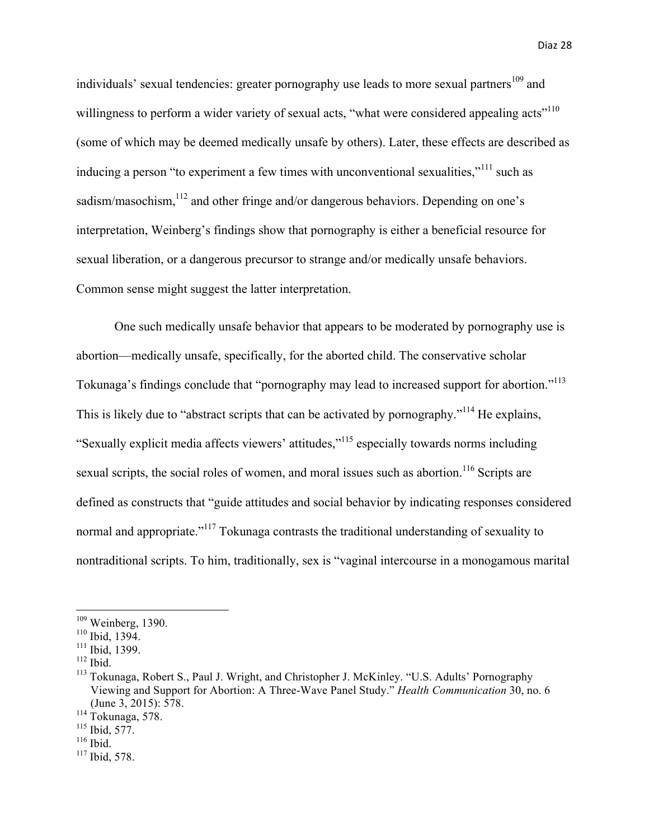individuals' sexual tendencies: greater pornography use leads to more sexual partners<sup>109</sup> and willingness to perform a wider variety of sexual acts, "what were considered appealing acts"<sup>110</sup> (some of which may be deemed medically unsafe by others). Later, these effects are described as inducing a person "to experiment a few times with unconventional sexualities,"<sup>111</sup> such as sadism/masochism,<sup>112</sup> and other fringe and/or dangerous behaviors. Depending on one's interpretation, Weinberg's findings show that pornography is either a beneficial resource for sexual liberation, or a dangerous precursor to strange and/or medically unsafe behaviors. Common sense might suggest the latter interpretation.

One such medically unsafe behavior that appears to be moderated by pornography use is abortion—medically unsafe, specifically, for the aborted child. The conservative scholar Tokunaga's findings conclude that "pornography may lead to increased support for abortion."113 This is likely due to "abstract scripts that can be activated by pornography."<sup>114</sup> He explains, "Sexually explicit media affects viewers' attitudes,"115 especially towards norms including sexual scripts, the social roles of women, and moral issues such as abortion.<sup>116</sup> Scripts are defined as constructs that "guide attitudes and social behavior by indicating responses considered normal and appropriate."<sup>117</sup> Tokunaga contrasts the traditional understanding of sexuality to nontraditional scripts. To him, traditionally, sex is "vaginal intercourse in a monogamous marital

<u> 1989 - Johann Barn, mars eta bainar eta industrial eta baina eta baina eta baina eta baina eta baina eta bain</u>

 $116$  Ibid.

 $109$  Weinberg, 1390.

<sup>110</sup> Ibid, 1394.

 $111$  Ibid, 1399.

 $112$  Ibid.

<sup>113</sup> Tokunaga, Robert S., Paul J. Wright, and Christopher J. McKinley. "U.S. Adults' Pornography Viewing and Support for Abortion: A Three-Wave Panel Study." *Health Communication* 30, no. 6 (June 3, 2015): 578.

 $114$  Tokunaga, 578.

<sup>115</sup> Ibid, 577.

 $117$  Ibid, 578.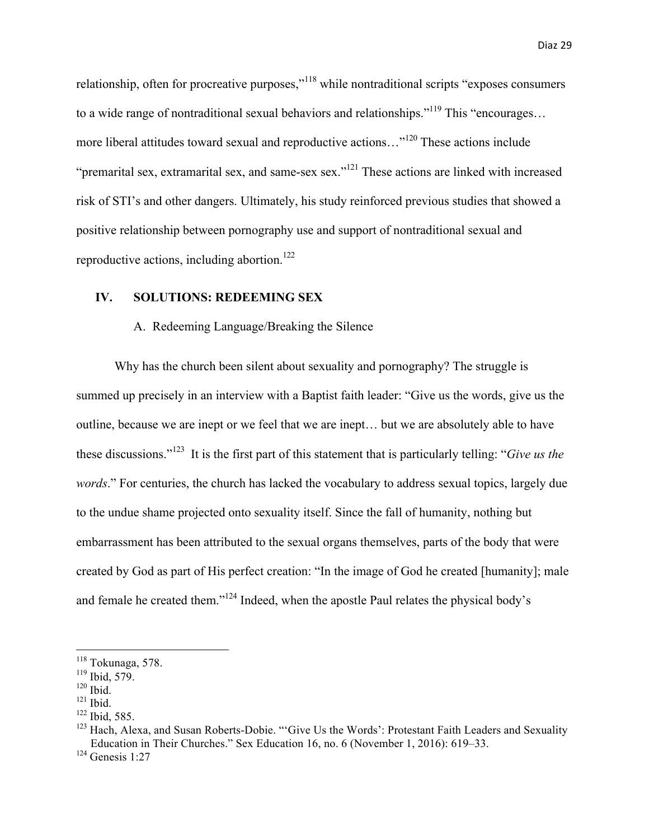relationship, often for procreative purposes,"<sup>118</sup> while nontraditional scripts "exposes consumers" to a wide range of nontraditional sexual behaviors and relationships."<sup>119</sup> This "encourages... more liberal attitudes toward sexual and reproductive actions…"<sup>120</sup> These actions include "premarital sex, extramarital sex, and same-sex sex."<sup>121</sup> These actions are linked with increased risk of STI's and other dangers. Ultimately, his study reinforced previous studies that showed a positive relationship between pornography use and support of nontraditional sexual and reproductive actions, including abortion.<sup>122</sup>

## **IV. SOLUTIONS: REDEEMING SEX**

# A. Redeeming Language/Breaking the Silence

Why has the church been silent about sexuality and pornography? The struggle is summed up precisely in an interview with a Baptist faith leader: "Give us the words, give us the outline, because we are inept or we feel that we are inept… but we are absolutely able to have these discussions."<sup>123</sup> It is the first part of this statement that is particularly telling: "*Give us the words*." For centuries, the church has lacked the vocabulary to address sexual topics, largely due to the undue shame projected onto sexuality itself. Since the fall of humanity, nothing but embarrassment has been attributed to the sexual organs themselves, parts of the body that were created by God as part of His perfect creation: "In the image of God he created [humanity]; male and female he created them."124 Indeed, when the apostle Paul relates the physical body's

 

 $118$  Tokunaga, 578.

 $119$  Ibid, 579.

 $120$  Ibid.

 $121$  Ibid.

<sup>122</sup> Ibid, 585.

<sup>&</sup>lt;sup>123</sup> Hach, Alexa, and Susan Roberts-Dobie. "'Give Us the Words': Protestant Faith Leaders and Sexuality Education in Their Churches." Sex Education 16, no. 6 (November 1, 2016): 619–33.

<sup>124</sup> Genesis 1:27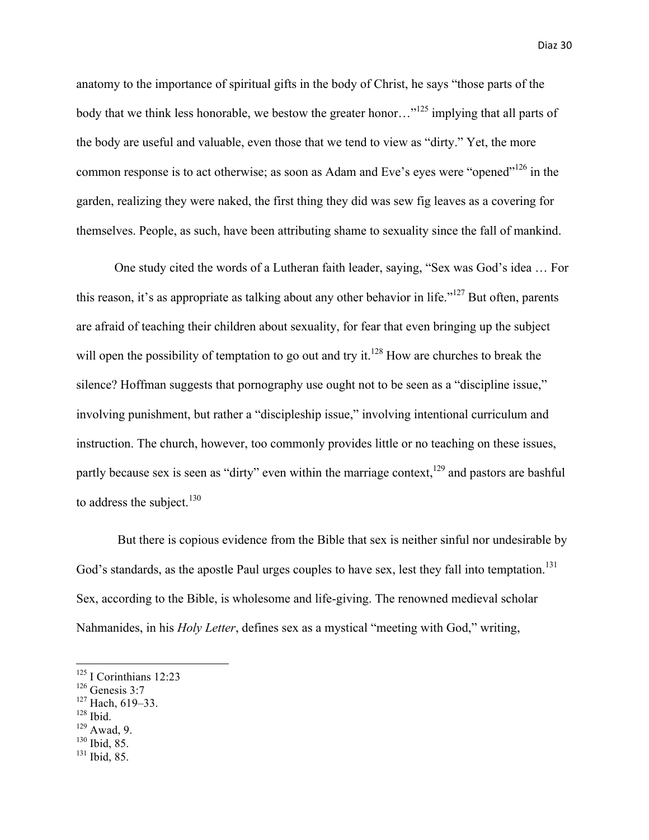anatomy to the importance of spiritual gifts in the body of Christ, he says "those parts of the body that we think less honorable, we bestow the greater honor...<sup>"125</sup> implying that all parts of the body are useful and valuable, even those that we tend to view as "dirty." Yet, the more common response is to act otherwise; as soon as Adam and Eve's eyes were "opened"<sup>126</sup> in the garden, realizing they were naked, the first thing they did was sew fig leaves as a covering for themselves. People, as such, have been attributing shame to sexuality since the fall of mankind.

One study cited the words of a Lutheran faith leader, saying, "Sex was God's idea … For this reason, it's as appropriate as talking about any other behavior in life."127 But often, parents are afraid of teaching their children about sexuality, for fear that even bringing up the subject will open the possibility of temptation to go out and try it.<sup>128</sup> How are churches to break the silence? Hoffman suggests that pornography use ought not to be seen as a "discipline issue," involving punishment, but rather a "discipleship issue," involving intentional curriculum and instruction. The church, however, too commonly provides little or no teaching on these issues, partly because sex is seen as "dirty" even within the marriage context,  $129$  and pastors are bashful to address the subject. $130$ 

But there is copious evidence from the Bible that sex is neither sinful nor undesirable by God's standards, as the apostle Paul urges couples to have sex, lest they fall into temptation.<sup>131</sup> Sex, according to the Bible, is wholesome and life-giving. The renowned medieval scholar Nahmanides, in his *Holy Letter*, defines sex as a mystical "meeting with God," writing,

<u> 1989 - Johann Barn, mars eta bainar eta industrial eta baina eta baina eta baina eta baina eta baina eta bain</u>

- <sup>128</sup> Ibid.
- $129$  Awad, 9.
- <sup>130</sup> Ibid, 85.
- $131$  Ibid, 85.

 $125$  I Corinthians 12:23

 $126$  Genesis 3:7

 $127$  Hach, 619–33.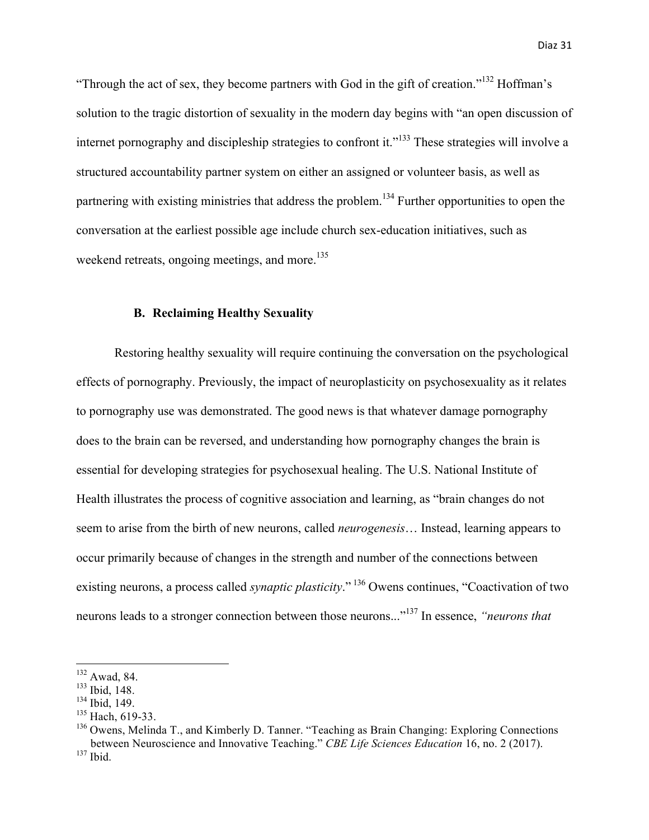"Through the act of sex, they become partners with God in the gift of creation."<sup>132</sup> Hoffman's solution to the tragic distortion of sexuality in the modern day begins with "an open discussion of internet pornography and discipleship strategies to confront it."<sup>133</sup> These strategies will involve a structured accountability partner system on either an assigned or volunteer basis, as well as partnering with existing ministries that address the problem.<sup>134</sup> Further opportunities to open the conversation at the earliest possible age include church sex-education initiatives, such as weekend retreats, ongoing meetings, and more.<sup>135</sup>

#### **B. Reclaiming Healthy Sexuality**

Restoring healthy sexuality will require continuing the conversation on the psychological effects of pornography. Previously, the impact of neuroplasticity on psychosexuality as it relates to pornography use was demonstrated. The good news is that whatever damage pornography does to the brain can be reversed, and understanding how pornography changes the brain is essential for developing strategies for psychosexual healing. The U.S. National Institute of Health illustrates the process of cognitive association and learning, as "brain changes do not seem to arise from the birth of new neurons, called *neurogenesis*… Instead, learning appears to occur primarily because of changes in the strength and number of the connections between existing neurons, a process called *synaptic plasticity*." <sup>136</sup> Owens continues, "Coactivation of two neurons leads to a stronger connection between those neurons..."137 In essence, *"neurons that* 

<u> 1989 - Johann Barn, mars eta bainar eta industrial eta baina eta baina eta baina eta baina eta baina eta bain</u>

 $132$  Awad, 84.

<sup>133</sup> Ibid, 148.

<sup>134</sup> Ibid, 149.

 $135$  Hach, 619-33.

<sup>&</sup>lt;sup>136</sup> Owens, Melinda T., and Kimberly D. Tanner. "Teaching as Brain Changing: Exploring Connections between Neuroscience and Innovative Teaching." *CBE Life Sciences Education* 16, no. 2 (2017).  $137$  Ibid.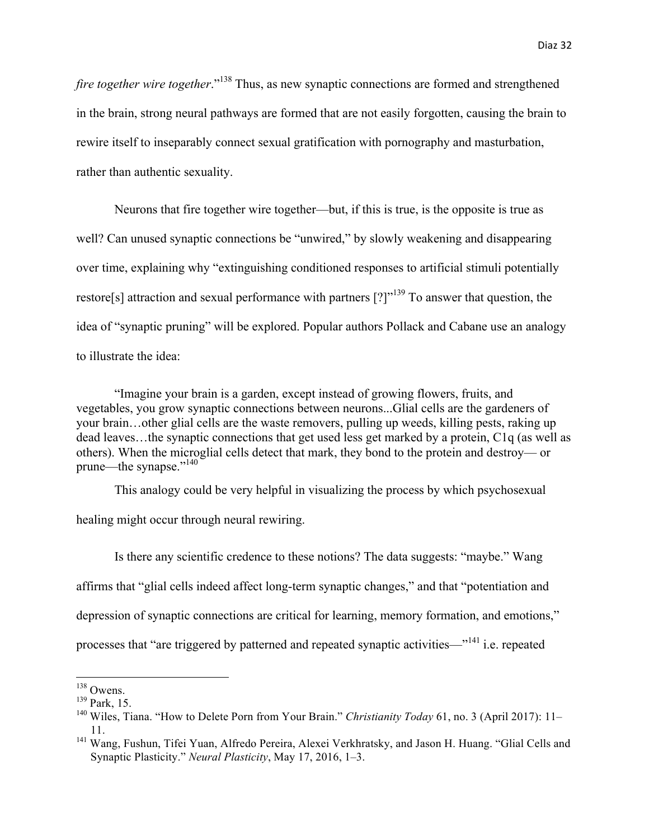*fire together wire together.*"<sup>138</sup> Thus, as new synaptic connections are formed and strengthened in the brain, strong neural pathways are formed that are not easily forgotten, causing the brain to rewire itself to inseparably connect sexual gratification with pornography and masturbation, rather than authentic sexuality.

Neurons that fire together wire together—but, if this is true, is the opposite is true as well? Can unused synaptic connections be "unwired," by slowly weakening and disappearing over time, explaining why "extinguishing conditioned responses to artificial stimuli potentially restore[s] attraction and sexual performance with partners  $[?]$ "<sup>139</sup> To answer that question, the idea of "synaptic pruning" will be explored. Popular authors Pollack and Cabane use an analogy to illustrate the idea:

"Imagine your brain is a garden, except instead of growing flowers, fruits, and vegetables, you grow synaptic connections between neurons...Glial cells are the gardeners of your brain…other glial cells are the waste removers, pulling up weeds, killing pests, raking up dead leaves…the synaptic connections that get used less get marked by a protein, C1q (as well as others). When the microglial cells detect that mark, they bond to the protein and destroy— or prune—the synapse."<sup>140</sup>

This analogy could be very helpful in visualizing the process by which psychosexual

healing might occur through neural rewiring.

Is there any scientific credence to these notions? The data suggests: "maybe." Wang affirms that "glial cells indeed affect long-term synaptic changes," and that "potentiation and depression of synaptic connections are critical for learning, memory formation, and emotions," processes that "are triggered by patterned and repeated synaptic activities—"<sup>141</sup> i.e. repeated

 $138$  Owens.

<sup>139</sup> Park, 15.

<sup>140</sup> Wiles, Tiana. "How to Delete Porn from Your Brain." *Christianity Today* 61, no. 3 (April 2017): 11– 11.

<sup>&</sup>lt;sup>141</sup> Wang, Fushun, Tifei Yuan, Alfredo Pereira, Alexei Verkhratsky, and Jason H. Huang. "Glial Cells and Synaptic Plasticity." *Neural Plasticity*, May 17, 2016, 1–3.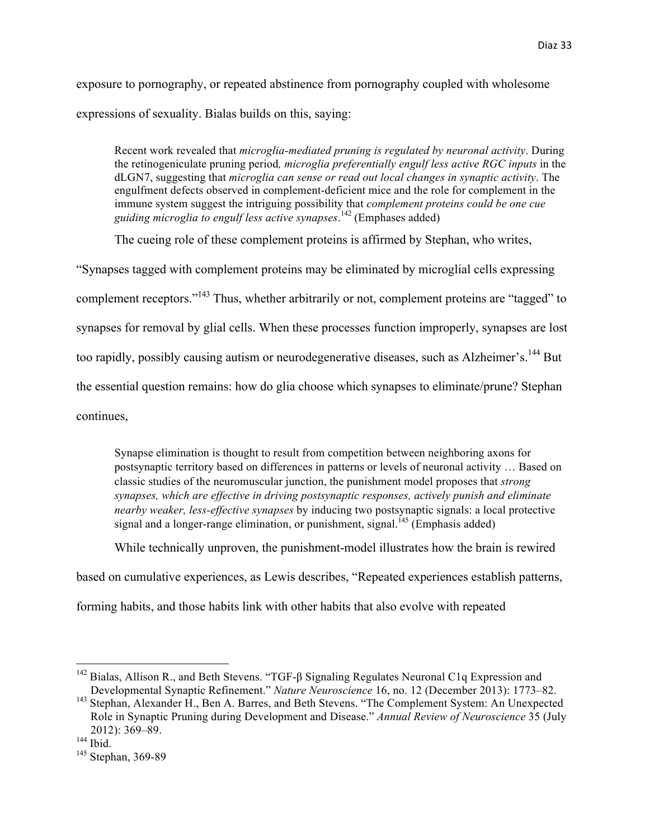exposure to pornography, or repeated abstinence from pornography coupled with wholesome expressions of sexuality. Bialas builds on this, saying:

Recent work revealed that *microglia-mediated pruning is regulated by neuronal activity*. During the retinogeniculate pruning period*, microglia preferentially engulf less active RGC inputs* in the dLGN7, suggesting that *microglia can sense or read out local changes in synaptic activity*. The engulfment defects observed in complement-deficient mice and the role for complement in the immune system suggest the intriguing possibility that *complement proteins could be one cue guiding microglia to engulf less active synapses*. <sup>142</sup> (Emphases added)

The cueing role of these complement proteins is affirmed by Stephan, who writes,

"Synapses tagged with complement proteins may be eliminated by microglial cells expressing complement receptors."<sup>143</sup> Thus, whether arbitrarily or not, complement proteins are "tagged" to synapses for removal by glial cells. When these processes function improperly, synapses are lost too rapidly, possibly causing autism or neurodegenerative diseases, such as Alzheimer's.<sup>144</sup> But the essential question remains: how do glia choose which synapses to eliminate/prune? Stephan continues,

Synapse elimination is thought to result from competition between neighboring axons for postsynaptic territory based on differences in patterns or levels of neuronal activity … Based on classic studies of the neuromuscular junction, the punishment model proposes that *strong synapses, which are effective in driving postsynaptic responses, actively punish and eliminate nearby weaker, less-effective synapses* by inducing two postsynaptic signals: a local protective signal and a longer-range elimination, or punishment, signal.<sup> $145$ </sup> (Emphasis added)

While technically unproven, the punishment-model illustrates how the brain is rewired

based on cumulative experiences, as Lewis describes, "Repeated experiences establish patterns,

forming habits, and those habits link with other habits that also evolve with repeated

<u> 1989 - Johann Barn, mars eta bainar eta industrial eta baina eta baina eta baina eta baina eta baina eta bain</u>

<sup>&</sup>lt;sup>142</sup> Bialas, Allison R., and Beth Stevens. "TGF-β Signaling Regulates Neuronal C1q Expression and Developmental Synaptic Refinement." *Nature Neuroscience* 16, no. 12 (December 2013): 1773–82.

<sup>&</sup>lt;sup>143</sup> Stephan, Alexander H., Ben A. Barres, and Beth Stevens. "The Complement System: An Unexpected Role in Synaptic Pruning during Development and Disease." *Annual Review of Neuroscience* 35 (July 2012): 369–89.

 $144$  Ibid.

<sup>&</sup>lt;sup>145</sup> Stephan, 369-89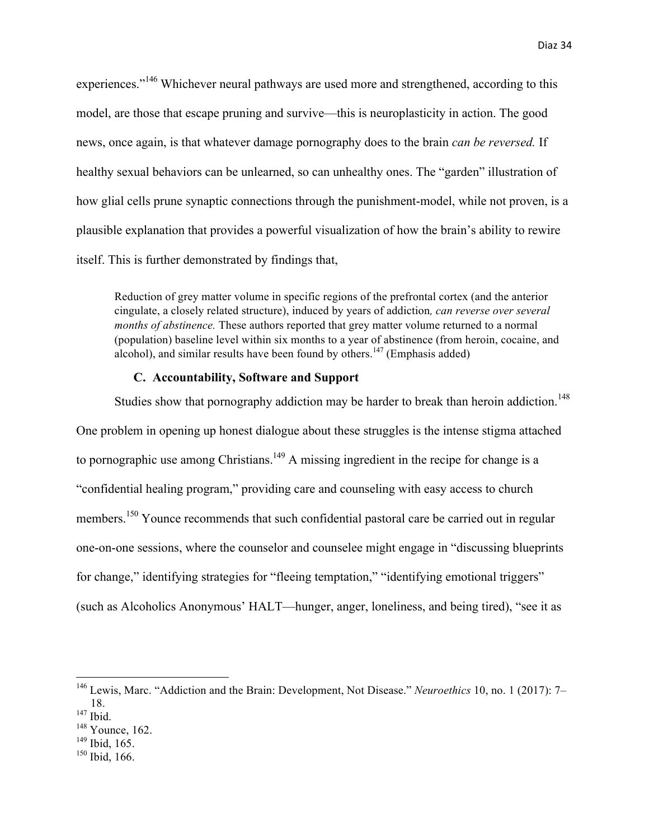experiences."<sup>146</sup> Whichever neural pathways are used more and strengthened, according to this

model, are those that escape pruning and survive—this is neuroplasticity in action. The good news, once again, is that whatever damage pornography does to the brain *can be reversed.* If healthy sexual behaviors can be unlearned, so can unhealthy ones. The "garden" illustration of how glial cells prune synaptic connections through the punishment-model, while not proven, is a plausible explanation that provides a powerful visualization of how the brain's ability to rewire itself. This is further demonstrated by findings that,

Reduction of grey matter volume in specific regions of the prefrontal cortex (and the anterior cingulate, a closely related structure), induced by years of addiction*, can reverse over several months of abstinence*. These authors reported that grey matter volume returned to a normal (population) baseline level within six months to a year of abstinence (from heroin, cocaine, and alcohol), and similar results have been found by others.<sup>147</sup> (Emphasis added)

# **C. Accountability, Software and Support**

Studies show that pornography addiction may be harder to break than heroin addiction.<sup>148</sup> One problem in opening up honest dialogue about these struggles is the intense stigma attached to pornographic use among Christians.<sup>149</sup> A missing ingredient in the recipe for change is a "confidential healing program," providing care and counseling with easy access to church members.<sup>150</sup> Younce recommends that such confidential pastoral care be carried out in regular one-on-one sessions, where the counselor and counselee might engage in "discussing blueprints for change," identifying strategies for "fleeing temptation," "identifying emotional triggers" (such as Alcoholics Anonymous' HALT—hunger, anger, loneliness, and being tired), "see it as

<u> 1989 - Johann Barn, mars ann an t-Amhain an t-Amhain an t-Amhain an t-Amhain an t-Amhain an t-Amhain an t-Amh</u>

 $149$  Ibid, 165.

<sup>146</sup> Lewis, Marc. "Addiction and the Brain: Development, Not Disease." *Neuroethics* 10, no. 1 (2017): 7– 18.

<sup>&</sup>lt;sup>147</sup> Ibid.

<sup>&</sup>lt;sup>148</sup> Younce, 162.

<sup>150</sup> Ibid, 166.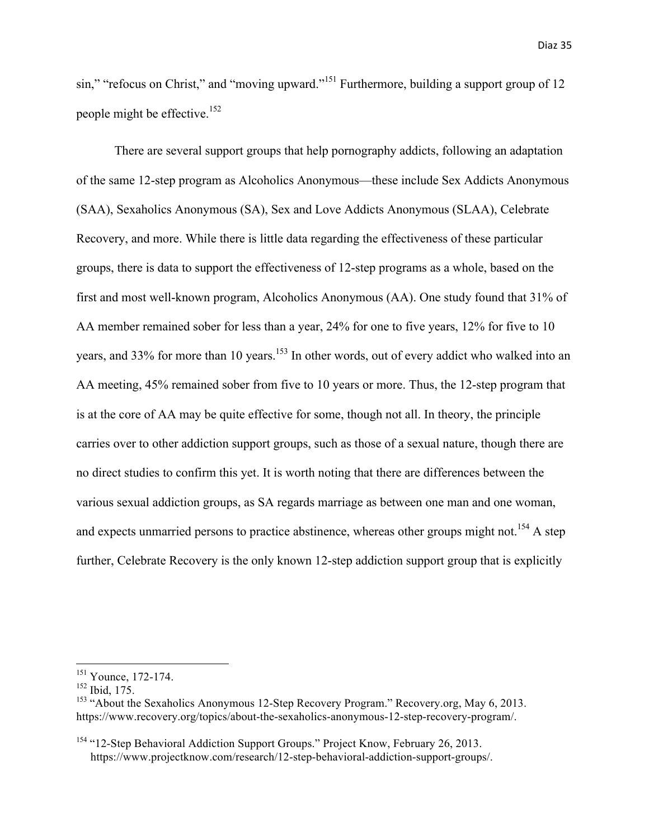sin," "refocus on Christ," and "moving upward."<sup>151</sup> Furthermore, building a support group of 12 people might be effective.<sup>152</sup>

There are several support groups that help pornography addicts, following an adaptation of the same 12-step program as Alcoholics Anonymous—these include Sex Addicts Anonymous (SAA), Sexaholics Anonymous (SA), Sex and Love Addicts Anonymous (SLAA), Celebrate Recovery, and more. While there is little data regarding the effectiveness of these particular groups, there is data to support the effectiveness of 12-step programs as a whole, based on the first and most well-known program, Alcoholics Anonymous (AA). One study found that 31% of AA member remained sober for less than a year, 24% for one to five years, 12% for five to 10 years, and 33% for more than 10 years.<sup>153</sup> In other words, out of every addict who walked into an AA meeting, 45% remained sober from five to 10 years or more. Thus, the 12-step program that is at the core of AA may be quite effective for some, though not all. In theory, the principle carries over to other addiction support groups, such as those of a sexual nature, though there are no direct studies to confirm this yet. It is worth noting that there are differences between the various sexual addiction groups, as SA regards marriage as between one man and one woman, and expects unmarried persons to practice abstinence, whereas other groups might not.<sup>154</sup> A step further, Celebrate Recovery is the only known 12-step addiction support group that is explicitly

<u> 1989 - Johann Barn, mars eta bainar eta industrial eta baina eta baina eta baina eta baina eta baina eta bain</u>

 $151$  Younce, 172-174.

 $152$  Ibid, 175.

<sup>&</sup>lt;sup>153</sup> "About the Sexaholics Anonymous 12-Step Recovery Program." Recovery.org, May 6, 2013. https://www.recovery.org/topics/about-the-sexaholics-anonymous-12-step-recovery-program/.

<sup>&</sup>lt;sup>154</sup> "12-Step Behavioral Addiction Support Groups." Project Know, February 26, 2013. https://www.projectknow.com/research/12-step-behavioral-addiction-support-groups/.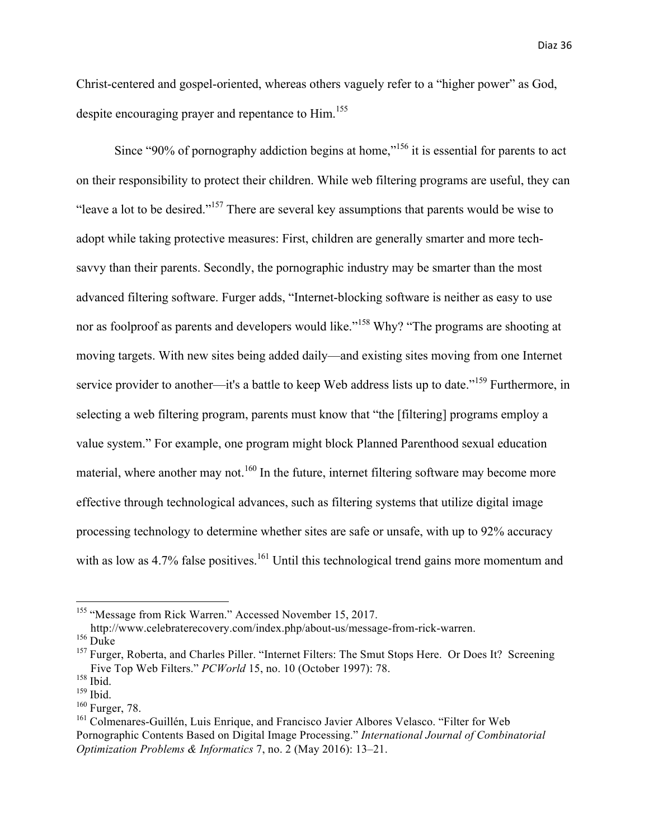Christ-centered and gospel-oriented, whereas others vaguely refer to a "higher power" as God, despite encouraging prayer and repentance to Him.<sup>155</sup>

Since "90% of pornography addiction begins at home,"<sup>156</sup> it is essential for parents to act on their responsibility to protect their children. While web filtering programs are useful, they can "leave a lot to be desired."157 There are several key assumptions that parents would be wise to adopt while taking protective measures: First, children are generally smarter and more techsavvy than their parents. Secondly, the pornographic industry may be smarter than the most advanced filtering software. Furger adds, "Internet-blocking software is neither as easy to use nor as foolproof as parents and developers would like."<sup>158</sup> Why? "The programs are shooting at moving targets. With new sites being added daily—and existing sites moving from one Internet service provider to another—it's a battle to keep Web address lists up to date."<sup>159</sup> Furthermore, in selecting a web filtering program, parents must know that "the [filtering] programs employ a value system." For example, one program might block Planned Parenthood sexual education material, where another may not.<sup>160</sup> In the future, internet filtering software may become more effective through technological advances, such as filtering systems that utilize digital image processing technology to determine whether sites are safe or unsafe, with up to 92% accuracy with as low as 4.7% false positives.<sup>161</sup> Until this technological trend gains more momentum and

<sup>&</sup>lt;sup>155</sup> "Message from Rick Warren." Accessed November 15, 2017.

http://www.celebraterecovery.com/index.php/about-us/message-from-rick-warren.

 $156$  Duke

<sup>&</sup>lt;sup>157</sup> Furger, Roberta, and Charles Piller. "Internet Filters: The Smut Stops Here. Or Does It? Screening Five Top Web Filters." *PCWorld* 15, no. 10 (October 1997): 78.

 $\frac{^{159}}{^{160}}$  Furger, 78.

<sup>&</sup>lt;sup>161</sup> Colmenares-Guillén, Luis Enrique, and Francisco Javier Albores Velasco. "Filter for Web Pornographic Contents Based on Digital Image Processing." *International Journal of Combinatorial Optimization Problems & Informatics* 7, no. 2 (May 2016): 13–21.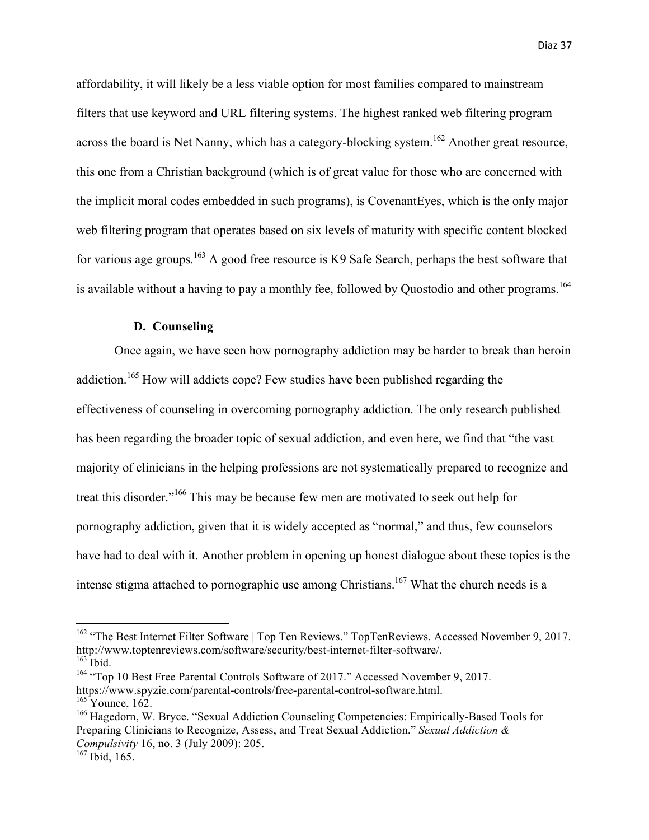affordability, it will likely be a less viable option for most families compared to mainstream filters that use keyword and URL filtering systems. The highest ranked web filtering program across the board is Net Nanny, which has a category-blocking system.<sup>162</sup> Another great resource, this one from a Christian background (which is of great value for those who are concerned with the implicit moral codes embedded in such programs), is CovenantEyes, which is the only major web filtering program that operates based on six levels of maturity with specific content blocked for various age groups.<sup>163</sup> A good free resource is K9 Safe Search, perhaps the best software that is available without a having to pay a monthly fee, followed by Quostodio and other programs.<sup>164</sup>

## **D. Counseling**

Once again, we have seen how pornography addiction may be harder to break than heroin addiction.<sup>165</sup> How will addicts cope? Few studies have been published regarding the effectiveness of counseling in overcoming pornography addiction. The only research published has been regarding the broader topic of sexual addiction, and even here, we find that "the vast majority of clinicians in the helping professions are not systematically prepared to recognize and treat this disorder."<sup>166</sup> This may be because few men are motivated to seek out help for pornography addiction, given that it is widely accepted as "normal," and thus, few counselors have had to deal with it. Another problem in opening up honest dialogue about these topics is the intense stigma attached to pornographic use among Christians.<sup>167</sup> What the church needs is a

 $162$  "The Best Internet Filter Software | Top Ten Reviews." TopTenReviews. Accessed November 9, 2017. http://www.toptenreviews.com/software/security/best-internet-filter-software/.  $163$  Ibid.

<sup>&</sup>lt;sup>164</sup> "Top 10 Best Free Parental Controls Software of 2017." Accessed November 9, 2017. https://www.spyzie.com/parental-controls/free-parental-control-software.html.

 $165$  Younce,  $162$ .

<sup>166</sup> Hagedorn, W. Bryce. "Sexual Addiction Counseling Competencies: Empirically-Based Tools for Preparing Clinicians to Recognize, Assess, and Treat Sexual Addiction." *Sexual Addiction & Compulsivity* 16, no. 3 (July 2009): 205.

<sup>&</sup>lt;sup>167</sup> Ibid, 165.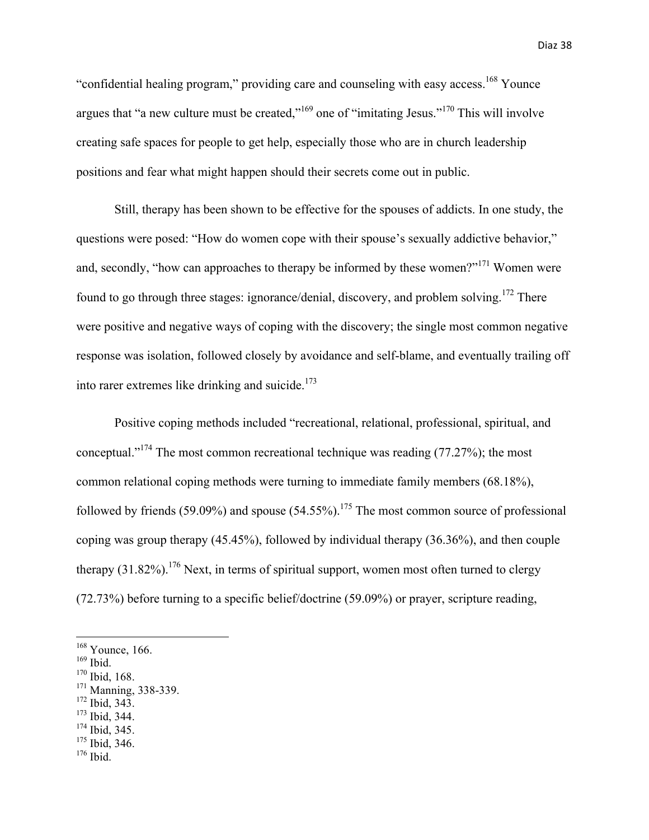"confidential healing program," providing care and counseling with easy access.<sup>168</sup> Younce argues that "a new culture must be created," $169$  one of "imitating Jesus." $170$  This will involve creating safe spaces for people to get help, especially those who are in church leadership positions and fear what might happen should their secrets come out in public.

Still, therapy has been shown to be effective for the spouses of addicts. In one study, the questions were posed: "How do women cope with their spouse's sexually addictive behavior," and, secondly, "how can approaches to therapy be informed by these women?"<sup>171</sup> Women were found to go through three stages: ignorance/denial, discovery, and problem solving.172 There were positive and negative ways of coping with the discovery; the single most common negative response was isolation, followed closely by avoidance and self-blame, and eventually trailing off into rarer extremes like drinking and suicide. $173$ 

Positive coping methods included "recreational, relational, professional, spiritual, and conceptual."174 The most common recreational technique was reading (77.27%); the most common relational coping methods were turning to immediate family members (68.18%), followed by friends (59.09%) and spouse (54.55%).<sup>175</sup> The most common source of professional coping was group therapy (45.45%), followed by individual therapy (36.36%), and then couple therapy  $(31.82\%)$ .<sup>176</sup> Next, in terms of spiritual support, women most often turned to clergy (72.73%) before turning to a specific belief/doctrine (59.09%) or prayer, scripture reading,

- <sup>170</sup> Ibid, 168.
- <sup>171</sup> Manning, 338-339.

- <sup>172</sup> Ibid, 343.
- <sup>173</sup> Ibid, 344.
- <sup>174</sup> Ibid, 345.
- <sup>175</sup> Ibid, 346.
- $176$  Ibid.

<sup>&</sup>lt;sup>168</sup> Younce, 166.

<sup>169</sup> Ibid.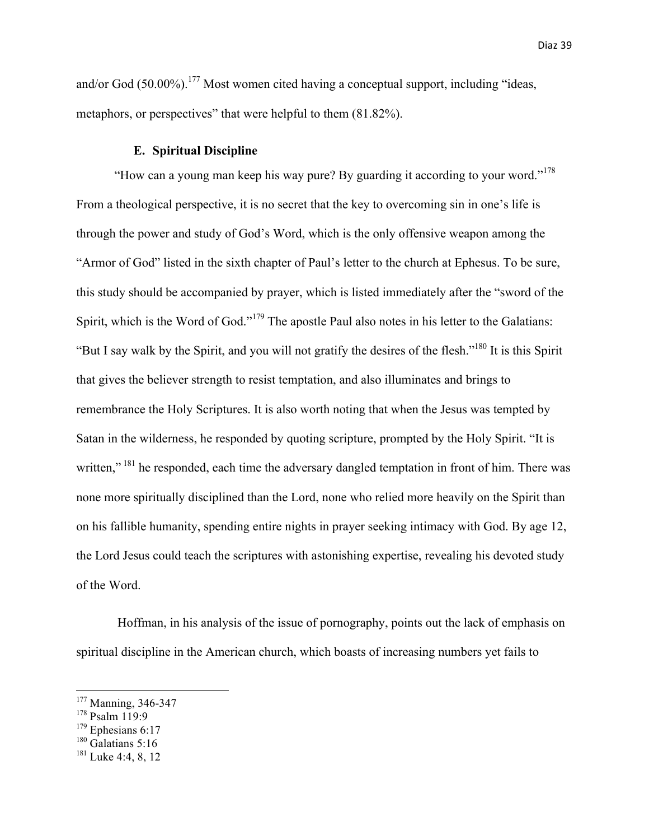and/or God  $(50.00\%)$ .<sup>177</sup> Most women cited having a conceptual support, including "ideas, metaphors, or perspectives" that were helpful to them (81.82%).

# **E. Spiritual Discipline**

"How can a young man keep his way pure? By guarding it according to your word."<sup>178</sup> From a theological perspective, it is no secret that the key to overcoming sin in one's life is through the power and study of God's Word, which is the only offensive weapon among the "Armor of God" listed in the sixth chapter of Paul's letter to the church at Ephesus. To be sure, this study should be accompanied by prayer, which is listed immediately after the "sword of the Spirit, which is the Word of God."<sup>179</sup> The apostle Paul also notes in his letter to the Galatians: "But I say walk by the Spirit, and you will not gratify the desires of the flesh."180 It is this Spirit that gives the believer strength to resist temptation, and also illuminates and brings to remembrance the Holy Scriptures. It is also worth noting that when the Jesus was tempted by Satan in the wilderness, he responded by quoting scripture, prompted by the Holy Spirit. "It is written," <sup>181</sup> he responded, each time the adversary dangled temptation in front of him. There was none more spiritually disciplined than the Lord, none who relied more heavily on the Spirit than on his fallible humanity, spending entire nights in prayer seeking intimacy with God. By age 12, the Lord Jesus could teach the scriptures with astonishing expertise, revealing his devoted study of the Word.

Hoffman, in his analysis of the issue of pornography, points out the lack of emphasis on spiritual discipline in the American church, which boasts of increasing numbers yet fails to

 $180$  Galatians 5:16

<sup>&</sup>lt;sup>177</sup> Manning, 346-347

<sup>178</sup> Psalm 119:9

 $179$  Ephesians 6:17

 $181$  Luke 4:4, 8, 12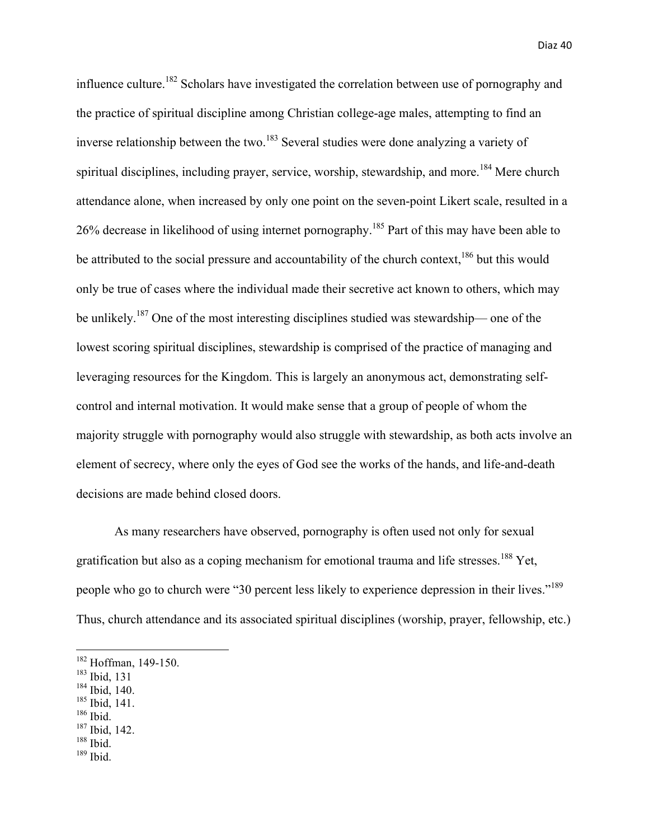influence culture.<sup>182</sup> Scholars have investigated the correlation between use of pornography and the practice of spiritual discipline among Christian college-age males, attempting to find an inverse relationship between the two.<sup>183</sup> Several studies were done analyzing a variety of spiritual disciplines, including prayer, service, worship, stewardship, and more.<sup>184</sup> Mere church attendance alone, when increased by only one point on the seven-point Likert scale, resulted in a 26% decrease in likelihood of using internet pornography.<sup>185</sup> Part of this may have been able to be attributed to the social pressure and accountability of the church context,  $186$  but this would only be true of cases where the individual made their secretive act known to others, which may be unlikely.187 One of the most interesting disciplines studied was stewardship— one of the lowest scoring spiritual disciplines, stewardship is comprised of the practice of managing and leveraging resources for the Kingdom. This is largely an anonymous act, demonstrating selfcontrol and internal motivation. It would make sense that a group of people of whom the majority struggle with pornography would also struggle with stewardship, as both acts involve an element of secrecy, where only the eyes of God see the works of the hands, and life-and-death decisions are made behind closed doors.

As many researchers have observed, pornography is often used not only for sexual gratification but also as a coping mechanism for emotional trauma and life stresses.<sup>188</sup> Yet, people who go to church were "30 percent less likely to experience depression in their lives."<sup>189</sup> Thus, church attendance and its associated spiritual disciplines (worship, prayer, fellowship, etc.)

 

- $184$  Ibid, 140.
- $\frac{185}{186}$  Ibid, 141.
- 
- $187$  Ibid, 142.
- <sup>188</sup> Ibid.
- $189$  Ibid.

<sup>&</sup>lt;sup>182</sup> Hoffman, 149-150.

<sup>183</sup> Ibid, 131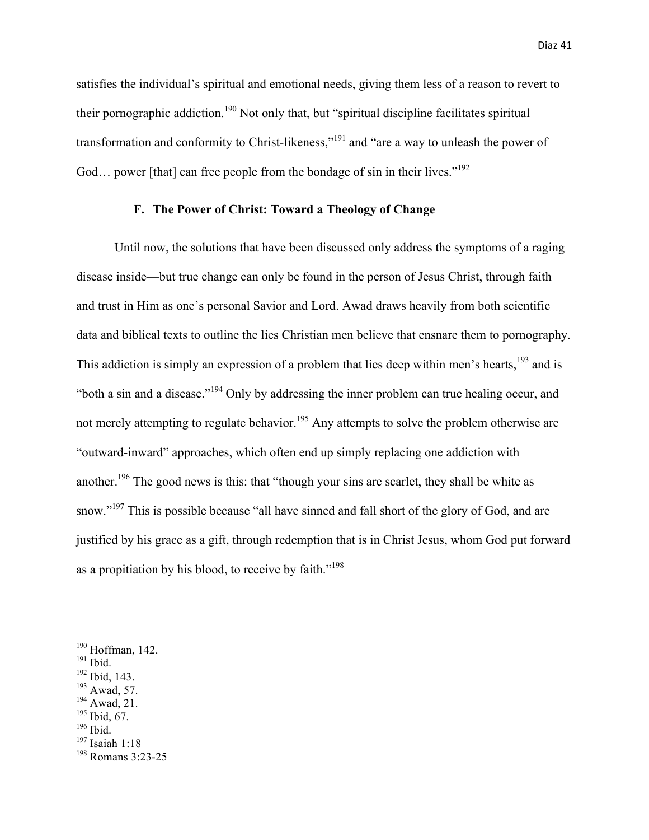satisfies the individual's spiritual and emotional needs, giving them less of a reason to revert to their pornographic addiction.<sup>190</sup> Not only that, but "spiritual discipline facilitates spiritual transformation and conformity to Christ-likeness,"<sup>191</sup> and "are a way to unleash the power of God... power [that] can free people from the bondage of sin in their lives."<sup>192</sup>

# **F. The Power of Christ: Toward a Theology of Change**

Until now, the solutions that have been discussed only address the symptoms of a raging disease inside—but true change can only be found in the person of Jesus Christ, through faith and trust in Him as one's personal Savior and Lord. Awad draws heavily from both scientific data and biblical texts to outline the lies Christian men believe that ensnare them to pornography. This addiction is simply an expression of a problem that lies deep within men's hearts,<sup>193</sup> and is "both a sin and a disease."<sup>194</sup> Only by addressing the inner problem can true healing occur, and not merely attempting to regulate behavior.<sup>195</sup> Any attempts to solve the problem otherwise are "outward-inward" approaches, which often end up simply replacing one addiction with another.<sup>196</sup> The good news is this: that "though your sins are scarlet, they shall be white as snow."<sup>197</sup> This is possible because "all have sinned and fall short of the glory of God, and are justified by his grace as a gift, through redemption that is in Christ Jesus, whom God put forward as a propitiation by his blood, to receive by faith."<sup>198</sup>

- <sup>192</sup> Ibid, 143.
- $193$  Awad, 57.
- <sup>194</sup> Awad, 21.
- <sup>195</sup> Ibid, 67.
- <sup>196</sup> Ibid.
- <sup>197</sup> Isaiah 1:18

<sup>190</sup> Hoffman, 142.

<sup>&</sup>lt;sup>191</sup> Ibid.

<sup>198</sup> Romans 3:23-25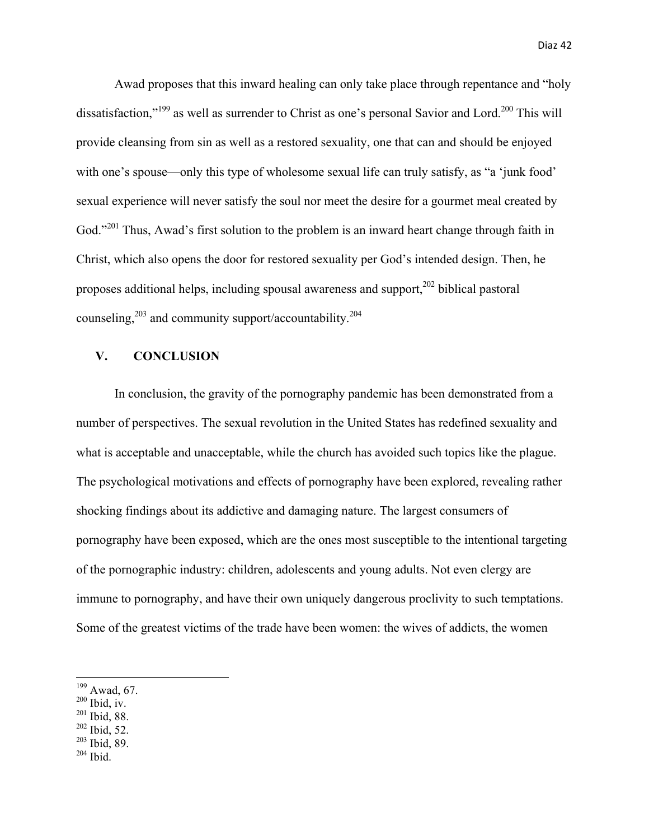Awad proposes that this inward healing can only take place through repentance and "holy dissatisfaction,"<sup>199</sup> as well as surrender to Christ as one's personal Savior and Lord.<sup>200</sup> This will provide cleansing from sin as well as a restored sexuality, one that can and should be enjoyed with one's spouse—only this type of wholesome sexual life can truly satisfy, as "a 'junk food' sexual experience will never satisfy the soul nor meet the desire for a gourmet meal created by God."<sup>201</sup> Thus, Awad's first solution to the problem is an inward heart change through faith in Christ, which also opens the door for restored sexuality per God's intended design. Then, he proposes additional helps, including spousal awareness and support,202 biblical pastoral counseling, $2^{03}$  and community support/accountability. $2^{04}$ 

# **V. CONCLUSION**

In conclusion, the gravity of the pornography pandemic has been demonstrated from a number of perspectives. The sexual revolution in the United States has redefined sexuality and what is acceptable and unacceptable, while the church has avoided such topics like the plague. The psychological motivations and effects of pornography have been explored, revealing rather shocking findings about its addictive and damaging nature. The largest consumers of pornography have been exposed, which are the ones most susceptible to the intentional targeting of the pornographic industry: children, adolescents and young adults. Not even clergy are immune to pornography, and have their own uniquely dangerous proclivity to such temptations. Some of the greatest victims of the trade have been women: the wives of addicts, the women

- $200$  Ibid, iv.
- <sup>201</sup> Ibid, 88.
- $202$  Ibid, 52.
- $203$  Ibid, 89.
- $204$  Ibid.

<sup>199</sup> Awad, 67.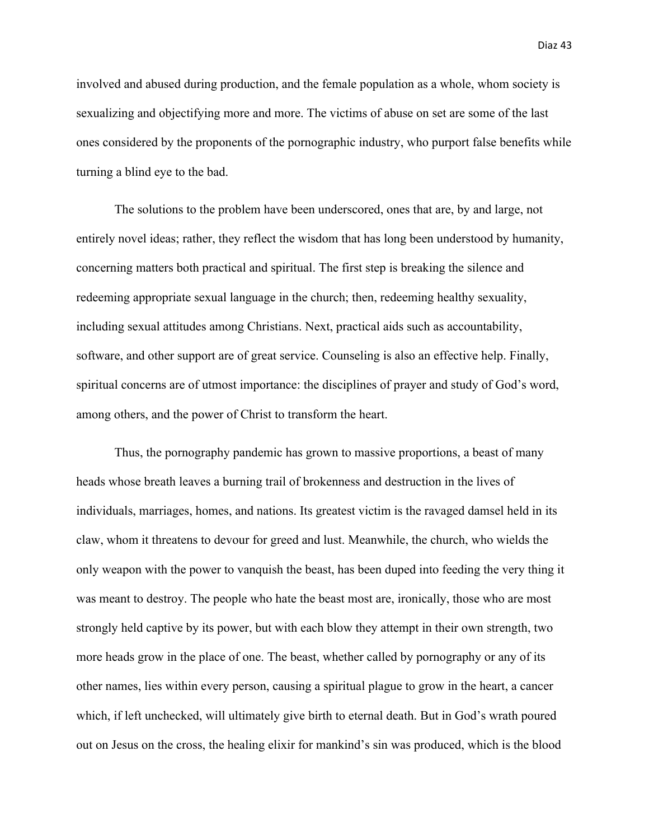involved and abused during production, and the female population as a whole, whom society is sexualizing and objectifying more and more. The victims of abuse on set are some of the last ones considered by the proponents of the pornographic industry, who purport false benefits while turning a blind eye to the bad.

The solutions to the problem have been underscored, ones that are, by and large, not entirely novel ideas; rather, they reflect the wisdom that has long been understood by humanity, concerning matters both practical and spiritual. The first step is breaking the silence and redeeming appropriate sexual language in the church; then, redeeming healthy sexuality, including sexual attitudes among Christians. Next, practical aids such as accountability, software, and other support are of great service. Counseling is also an effective help. Finally, spiritual concerns are of utmost importance: the disciplines of prayer and study of God's word, among others, and the power of Christ to transform the heart.

Thus, the pornography pandemic has grown to massive proportions, a beast of many heads whose breath leaves a burning trail of brokenness and destruction in the lives of individuals, marriages, homes, and nations. Its greatest victim is the ravaged damsel held in its claw, whom it threatens to devour for greed and lust. Meanwhile, the church, who wields the only weapon with the power to vanquish the beast, has been duped into feeding the very thing it was meant to destroy. The people who hate the beast most are, ironically, those who are most strongly held captive by its power, but with each blow they attempt in their own strength, two more heads grow in the place of one. The beast, whether called by pornography or any of its other names, lies within every person, causing a spiritual plague to grow in the heart, a cancer which, if left unchecked, will ultimately give birth to eternal death. But in God's wrath poured out on Jesus on the cross, the healing elixir for mankind's sin was produced, which is the blood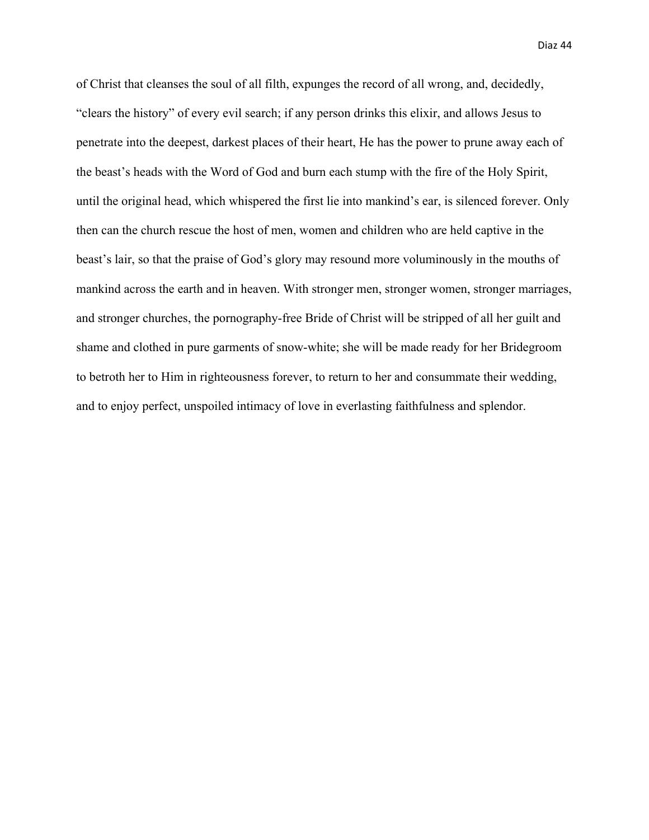of Christ that cleanses the soul of all filth, expunges the record of all wrong, and, decidedly, "clears the history" of every evil search; if any person drinks this elixir, and allows Jesus to penetrate into the deepest, darkest places of their heart, He has the power to prune away each of the beast's heads with the Word of God and burn each stump with the fire of the Holy Spirit, until the original head, which whispered the first lie into mankind's ear, is silenced forever. Only then can the church rescue the host of men, women and children who are held captive in the beast's lair, so that the praise of God's glory may resound more voluminously in the mouths of mankind across the earth and in heaven. With stronger men, stronger women, stronger marriages, and stronger churches, the pornography-free Bride of Christ will be stripped of all her guilt and shame and clothed in pure garments of snow-white; she will be made ready for her Bridegroom to betroth her to Him in righteousness forever, to return to her and consummate their wedding, and to enjoy perfect, unspoiled intimacy of love in everlasting faithfulness and splendor.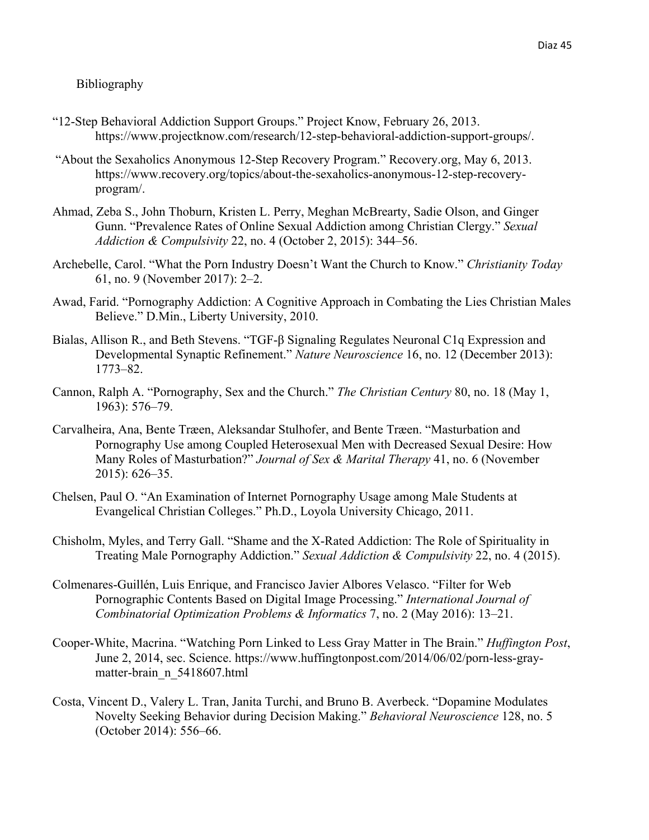## Bibliography

- "12-Step Behavioral Addiction Support Groups." Project Know, February 26, 2013. https://www.projectknow.com/research/12-step-behavioral-addiction-support-groups/.
- "About the Sexaholics Anonymous 12-Step Recovery Program." Recovery.org, May 6, 2013. https://www.recovery.org/topics/about-the-sexaholics-anonymous-12-step-recoveryprogram/.
- Ahmad, Zeba S., John Thoburn, Kristen L. Perry, Meghan McBrearty, Sadie Olson, and Ginger Gunn. "Prevalence Rates of Online Sexual Addiction among Christian Clergy." *Sexual Addiction & Compulsivity* 22, no. 4 (October 2, 2015): 344–56.
- Archebelle, Carol. "What the Porn Industry Doesn't Want the Church to Know." *Christianity Today* 61, no. 9 (November 2017): 2–2.
- Awad, Farid. "Pornography Addiction: A Cognitive Approach in Combating the Lies Christian Males Believe." D.Min., Liberty University, 2010.
- Bialas, Allison R., and Beth Stevens. "TGF-β Signaling Regulates Neuronal C1q Expression and Developmental Synaptic Refinement." *Nature Neuroscience* 16, no. 12 (December 2013): 1773–82.
- Cannon, Ralph A. "Pornography, Sex and the Church." *The Christian Century* 80, no. 18 (May 1, 1963): 576–79.
- Carvalheira, Ana, Bente Træen, Aleksandar Stulhofer, and Bente Træen. "Masturbation and Pornography Use among Coupled Heterosexual Men with Decreased Sexual Desire: How Many Roles of Masturbation?" *Journal of Sex & Marital Therapy* 41, no. 6 (November 2015): 626–35.
- Chelsen, Paul O. "An Examination of Internet Pornography Usage among Male Students at Evangelical Christian Colleges." Ph.D., Loyola University Chicago, 2011.
- Chisholm, Myles, and Terry Gall. "Shame and the X-Rated Addiction: The Role of Spirituality in Treating Male Pornography Addiction." *Sexual Addiction & Compulsivity* 22, no. 4 (2015).
- Colmenares-Guillén, Luis Enrique, and Francisco Javier Albores Velasco. "Filter for Web Pornographic Contents Based on Digital Image Processing." *International Journal of Combinatorial Optimization Problems & Informatics* 7, no. 2 (May 2016): 13–21.
- Cooper-White, Macrina. "Watching Porn Linked to Less Gray Matter in The Brain." *Huffington Post*, June 2, 2014, sec. Science. https://www.huffingtonpost.com/2014/06/02/porn-less-graymatter-brain\_n\_5418607.html
- Costa, Vincent D., Valery L. Tran, Janita Turchi, and Bruno B. Averbeck. "Dopamine Modulates Novelty Seeking Behavior during Decision Making." *Behavioral Neuroscience* 128, no. 5 (October 2014): 556–66.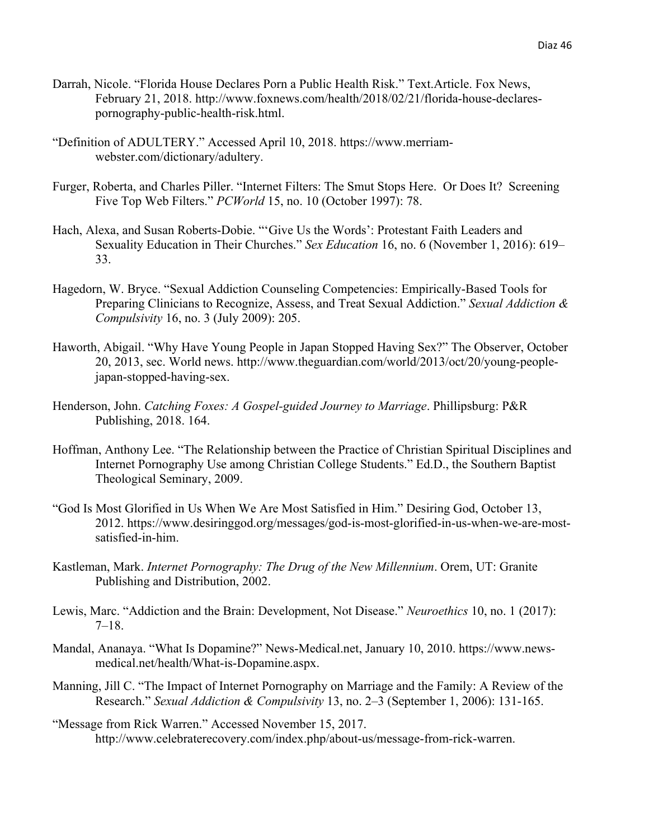- Darrah, Nicole. "Florida House Declares Porn a Public Health Risk." Text.Article. Fox News, February 21, 2018. http://www.foxnews.com/health/2018/02/21/florida-house-declarespornography-public-health-risk.html.
- "Definition of ADULTERY." Accessed April 10, 2018. https://www.merriamwebster.com/dictionary/adultery.
- Furger, Roberta, and Charles Piller. "Internet Filters: The Smut Stops Here. Or Does It? Screening Five Top Web Filters." *PCWorld* 15, no. 10 (October 1997): 78.
- Hach, Alexa, and Susan Roberts-Dobie. "'Give Us the Words': Protestant Faith Leaders and Sexuality Education in Their Churches." *Sex Education* 16, no. 6 (November 1, 2016): 619– 33.
- Hagedorn, W. Bryce. "Sexual Addiction Counseling Competencies: Empirically-Based Tools for Preparing Clinicians to Recognize, Assess, and Treat Sexual Addiction." *Sexual Addiction & Compulsivity* 16, no. 3 (July 2009): 205.
- Haworth, Abigail. "Why Have Young People in Japan Stopped Having Sex?" The Observer, October 20, 2013, sec. World news. http://www.theguardian.com/world/2013/oct/20/young-peoplejapan-stopped-having-sex.
- Henderson, John. *Catching Foxes: A Gospel-guided Journey to Marriage*. Phillipsburg: P&R Publishing, 2018. 164.
- Hoffman, Anthony Lee. "The Relationship between the Practice of Christian Spiritual Disciplines and Internet Pornography Use among Christian College Students." Ed.D., the Southern Baptist Theological Seminary, 2009.
- "God Is Most Glorified in Us When We Are Most Satisfied in Him." Desiring God, October 13, 2012. https://www.desiringgod.org/messages/god-is-most-glorified-in-us-when-we-are-mostsatisfied-in-him.
- Kastleman, Mark. *Internet Pornography: The Drug of the New Millennium*. Orem, UT: Granite Publishing and Distribution, 2002.
- Lewis, Marc. "Addiction and the Brain: Development, Not Disease." *Neuroethics* 10, no. 1 (2017): 7–18.
- Mandal, Ananaya. "What Is Dopamine?" News-Medical.net, January 10, 2010. https://www.newsmedical.net/health/What-is-Dopamine.aspx.
- Manning, Jill C. "The Impact of Internet Pornography on Marriage and the Family: A Review of the Research." *Sexual Addiction & Compulsivity* 13, no. 2–3 (September 1, 2006): 131-165.
- "Message from Rick Warren." Accessed November 15, 2017. http://www.celebraterecovery.com/index.php/about-us/message-from-rick-warren.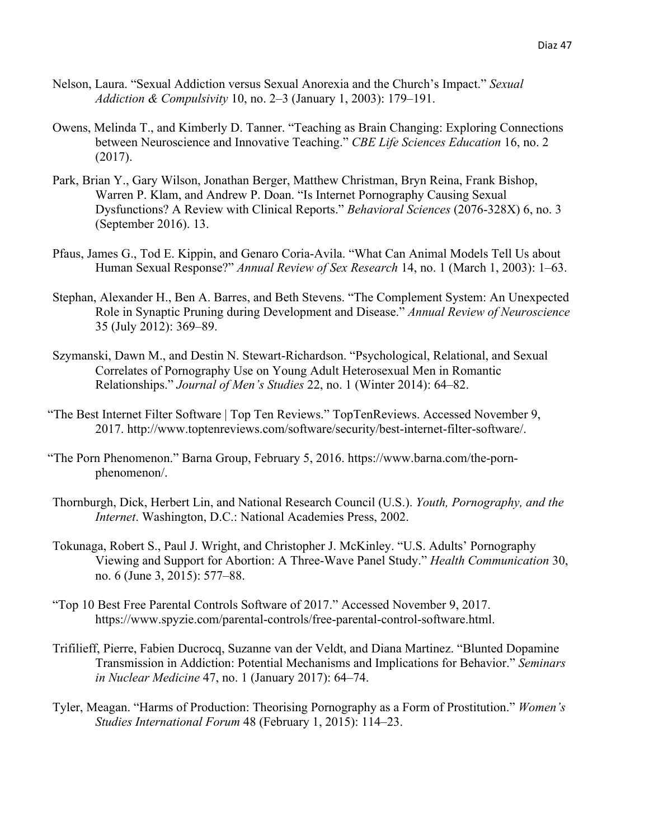- Nelson, Laura. "Sexual Addiction versus Sexual Anorexia and the Church's Impact." *Sexual Addiction & Compulsivity* 10, no. 2–3 (January 1, 2003): 179–191.
- Owens, Melinda T., and Kimberly D. Tanner. "Teaching as Brain Changing: Exploring Connections between Neuroscience and Innovative Teaching." *CBE Life Sciences Education* 16, no. 2 (2017).
- Park, Brian Y., Gary Wilson, Jonathan Berger, Matthew Christman, Bryn Reina, Frank Bishop, Warren P. Klam, and Andrew P. Doan. "Is Internet Pornography Causing Sexual Dysfunctions? A Review with Clinical Reports." *Behavioral Sciences* (2076-328X) 6, no. 3 (September 2016). 13.
- Pfaus, James G., Tod E. Kippin, and Genaro Coria-Avila. "What Can Animal Models Tell Us about Human Sexual Response?" *Annual Review of Sex Research* 14, no. 1 (March 1, 2003): 1–63.
- Stephan, Alexander H., Ben A. Barres, and Beth Stevens. "The Complement System: An Unexpected Role in Synaptic Pruning during Development and Disease." *Annual Review of Neuroscience* 35 (July 2012): 369–89.
- Szymanski, Dawn M., and Destin N. Stewart-Richardson. "Psychological, Relational, and Sexual Correlates of Pornography Use on Young Adult Heterosexual Men in Romantic Relationships." *Journal of Men's Studies* 22, no. 1 (Winter 2014): 64–82.
- "The Best Internet Filter Software | Top Ten Reviews." TopTenReviews. Accessed November 9, 2017. http://www.toptenreviews.com/software/security/best-internet-filter-software/.
- "The Porn Phenomenon." Barna Group, February 5, 2016. https://www.barna.com/the-pornphenomenon/.
- Thornburgh, Dick, Herbert Lin, and National Research Council (U.S.). *Youth, Pornography, and the Internet*. Washington, D.C.: National Academies Press, 2002.
- Tokunaga, Robert S., Paul J. Wright, and Christopher J. McKinley. "U.S. Adults' Pornography Viewing and Support for Abortion: A Three-Wave Panel Study." *Health Communication* 30, no. 6 (June 3, 2015): 577–88.
- "Top 10 Best Free Parental Controls Software of 2017." Accessed November 9, 2017. https://www.spyzie.com/parental-controls/free-parental-control-software.html.
- Trifilieff, Pierre, Fabien Ducrocq, Suzanne van der Veldt, and Diana Martinez. "Blunted Dopamine Transmission in Addiction: Potential Mechanisms and Implications for Behavior." *Seminars in Nuclear Medicine* 47, no. 1 (January 2017): 64–74.
- Tyler, Meagan. "Harms of Production: Theorising Pornography as a Form of Prostitution." *Women's Studies International Forum* 48 (February 1, 2015): 114–23.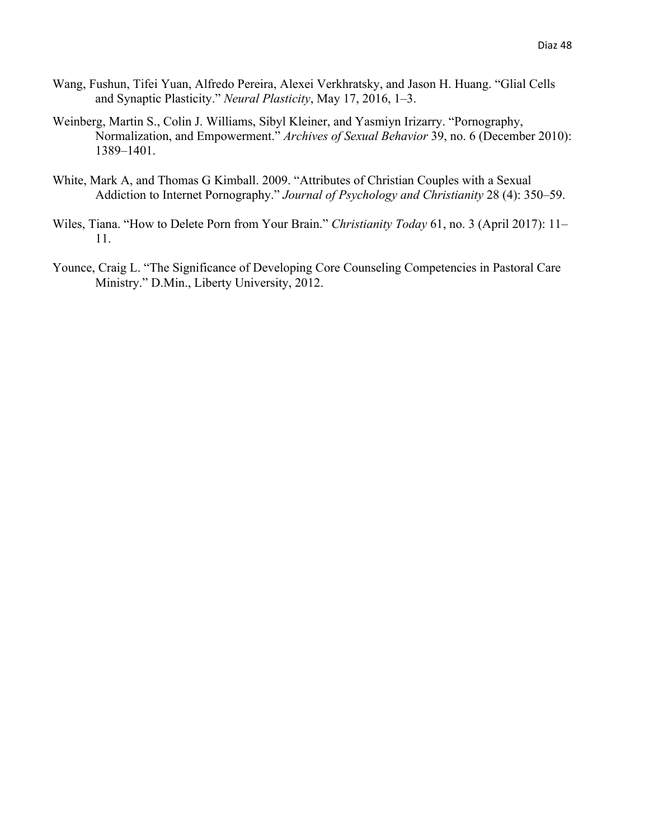- Wang, Fushun, Tifei Yuan, Alfredo Pereira, Alexei Verkhratsky, and Jason H. Huang. "Glial Cells and Synaptic Plasticity." *Neural Plasticity*, May 17, 2016, 1–3.
- Weinberg, Martin S., Colin J. Williams, Sibyl Kleiner, and Yasmiyn Irizarry. "Pornography, Normalization, and Empowerment." *Archives of Sexual Behavior* 39, no. 6 (December 2010): 1389–1401.
- White, Mark A, and Thomas G Kimball. 2009. "Attributes of Christian Couples with a Sexual Addiction to Internet Pornography." *Journal of Psychology and Christianity* 28 (4): 350–59.
- Wiles, Tiana. "How to Delete Porn from Your Brain." *Christianity Today* 61, no. 3 (April 2017): 11– 11.
- Younce, Craig L. "The Significance of Developing Core Counseling Competencies in Pastoral Care Ministry." D.Min., Liberty University, 2012.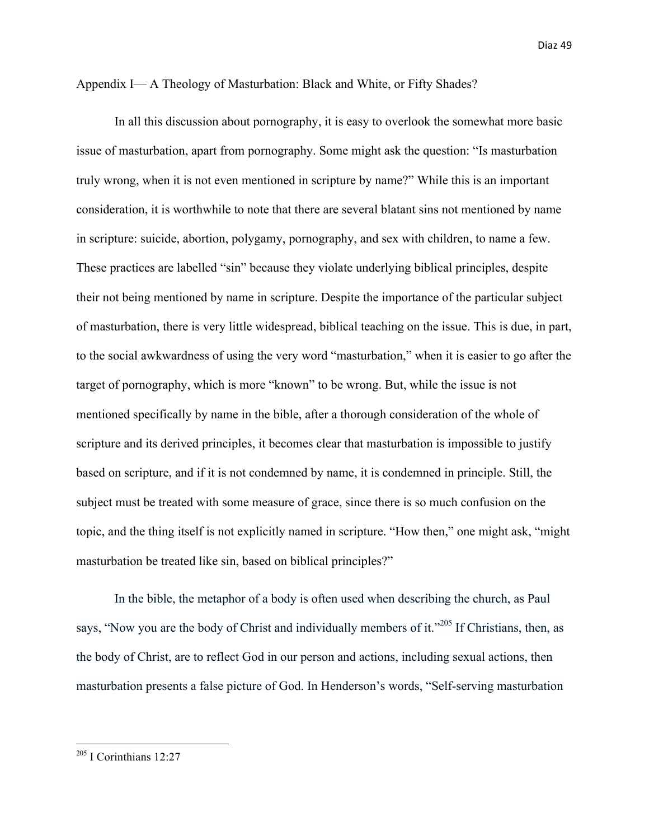Appendix I— A Theology of Masturbation: Black and White, or Fifty Shades?

In all this discussion about pornography, it is easy to overlook the somewhat more basic issue of masturbation, apart from pornography. Some might ask the question: "Is masturbation truly wrong, when it is not even mentioned in scripture by name?" While this is an important consideration, it is worthwhile to note that there are several blatant sins not mentioned by name in scripture: suicide, abortion, polygamy, pornography, and sex with children, to name a few. These practices are labelled "sin" because they violate underlying biblical principles, despite their not being mentioned by name in scripture. Despite the importance of the particular subject of masturbation, there is very little widespread, biblical teaching on the issue. This is due, in part, to the social awkwardness of using the very word "masturbation," when it is easier to go after the target of pornography, which is more "known" to be wrong. But, while the issue is not mentioned specifically by name in the bible, after a thorough consideration of the whole of scripture and its derived principles, it becomes clear that masturbation is impossible to justify based on scripture, and if it is not condemned by name, it is condemned in principle. Still, the subject must be treated with some measure of grace, since there is so much confusion on the topic, and the thing itself is not explicitly named in scripture. "How then," one might ask, "might masturbation be treated like sin, based on biblical principles?"

In the bible, the metaphor of a body is often used when describing the church, as Paul says, "Now you are the body of Christ and individually members of it."<sup>205</sup> If Christians, then, as the body of Christ, are to reflect God in our person and actions, including sexual actions, then masturbation presents a false picture of God. In Henderson's words, "Self-serving masturbation

 $205$  I Corinthians 12:27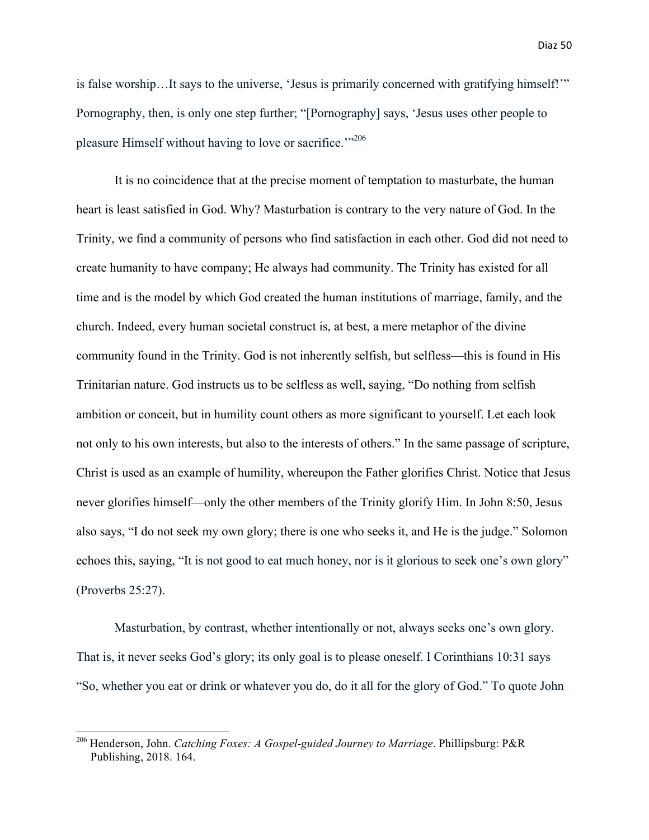is false worship…It says to the universe, 'Jesus is primarily concerned with gratifying himself!'" Pornography, then, is only one step further; "[Pornography] says, 'Jesus uses other people to pleasure Himself without having to love or sacrifice.<sup>"206</sup>

It is no coincidence that at the precise moment of temptation to masturbate, the human heart is least satisfied in God. Why? Masturbation is contrary to the very nature of God. In the Trinity, we find a community of persons who find satisfaction in each other. God did not need to create humanity to have company; He always had community. The Trinity has existed for all time and is the model by which God created the human institutions of marriage, family, and the church. Indeed, every human societal construct is, at best, a mere metaphor of the divine community found in the Trinity. God is not inherently selfish, but selfless—this is found in His Trinitarian nature. God instructs us to be selfless as well, saying, "Do nothing from selfish ambition or conceit, but in humility count others as more significant to yourself. Let each look not only to his own interests, but also to the interests of others." In the same passage of scripture, Christ is used as an example of humility, whereupon the Father glorifies Christ. Notice that Jesus never glorifies himself—only the other members of the Trinity glorify Him. In John 8:50, Jesus also says, "I do not seek my own glory; there is one who seeks it, and He is the judge." Solomon echoes this, saying, "It is not good to eat much honey, nor is it glorious to seek one's own glory" (Proverbs 25:27).

Masturbation, by contrast, whether intentionally or not, always seeks one's own glory. That is, it never seeks God's glory; its only goal is to please oneself. I Corinthians 10:31 says "So, whether you eat or drink or whatever you do, do it all for the glory of God." To quote John

<u> 1989 - Johann Barn, mars eta bainar eta industrial eta baina eta baina eta baina eta baina eta baina eta bain</u>

<sup>206</sup> Henderson, John. *Catching Foxes: A Gospel-guided Journey to Marriage*. Phillipsburg: P&R Publishing, 2018. 164.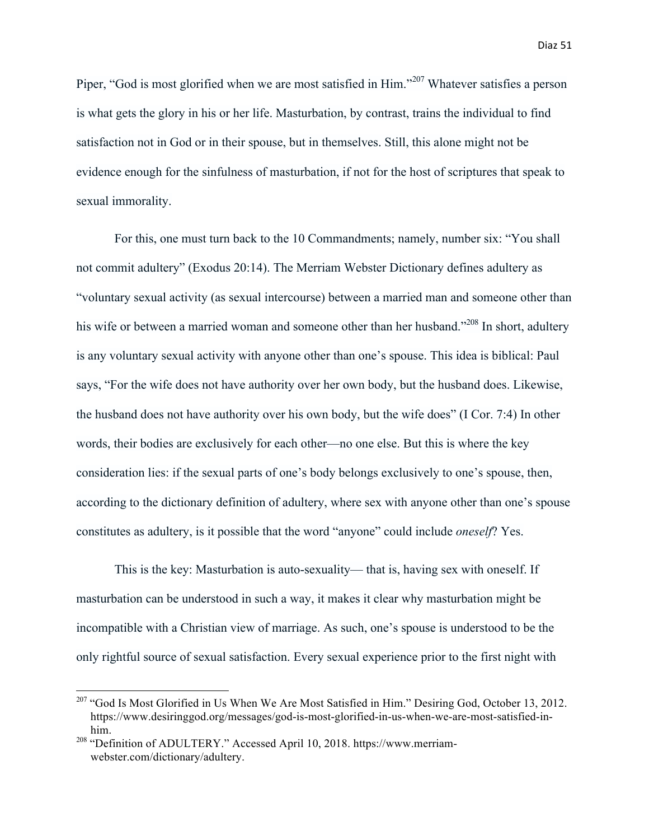Piper, "God is most glorified when we are most satisfied in Him."<sup>207</sup> Whatever satisfies a person is what gets the glory in his or her life. Masturbation, by contrast, trains the individual to find satisfaction not in God or in their spouse, but in themselves. Still, this alone might not be evidence enough for the sinfulness of masturbation, if not for the host of scriptures that speak to sexual immorality.

For this, one must turn back to the 10 Commandments; namely, number six: "You shall not commit adultery" (Exodus 20:14). The Merriam Webster Dictionary defines adultery as "voluntary sexual activity (as sexual intercourse) between a married man and someone other than his wife or between a married woman and someone other than her husband."<sup>208</sup> In short, adultery is any voluntary sexual activity with anyone other than one's spouse. This idea is biblical: Paul says, "For the wife does not have authority over her own body, but the husband does. Likewise, the husband does not have authority over his own body, but the wife does" (I Cor. 7:4) In other words, their bodies are exclusively for each other—no one else. But this is where the key consideration lies: if the sexual parts of one's body belongs exclusively to one's spouse, then, according to the dictionary definition of adultery, where sex with anyone other than one's spouse constitutes as adultery, is it possible that the word "anyone" could include *oneself*? Yes.

This is the key: Masturbation is auto-sexuality— that is, having sex with oneself. If masturbation can be understood in such a way, it makes it clear why masturbation might be incompatible with a Christian view of marriage. As such, one's spouse is understood to be the only rightful source of sexual satisfaction. Every sexual experience prior to the first night with

<sup>&</sup>lt;sup>207</sup> "God Is Most Glorified in Us When We Are Most Satisfied in Him." Desiring God, October 13, 2012. https://www.desiringgod.org/messages/god-is-most-glorified-in-us-when-we-are-most-satisfied-inhim.

<sup>&</sup>lt;sup>208</sup> "Definition of ADULTERY." Accessed April 10, 2018. https://www.merriamwebster.com/dictionary/adultery.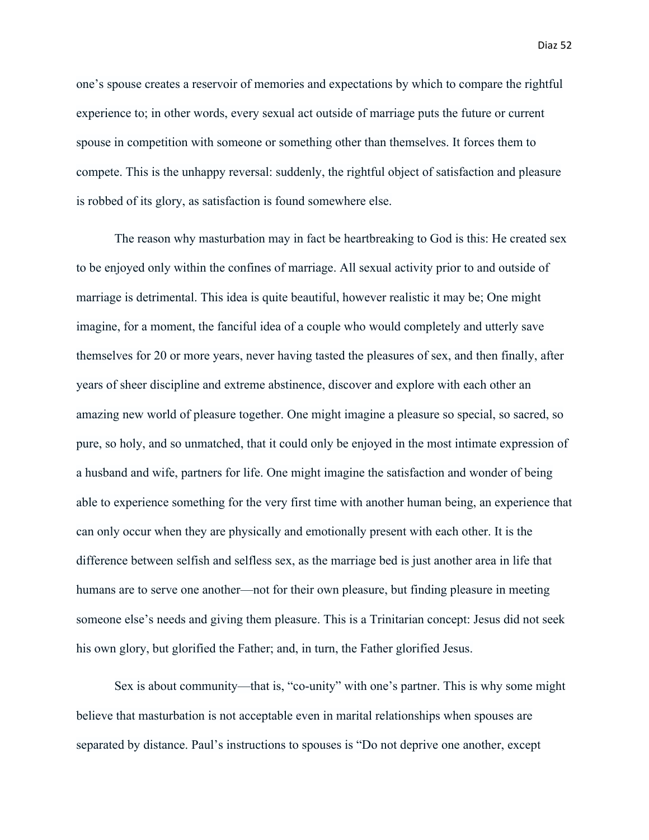one's spouse creates a reservoir of memories and expectations by which to compare the rightful experience to; in other words, every sexual act outside of marriage puts the future or current spouse in competition with someone or something other than themselves. It forces them to compete. This is the unhappy reversal: suddenly, the rightful object of satisfaction and pleasure is robbed of its glory, as satisfaction is found somewhere else.

The reason why masturbation may in fact be heartbreaking to God is this: He created sex to be enjoyed only within the confines of marriage. All sexual activity prior to and outside of marriage is detrimental. This idea is quite beautiful, however realistic it may be; One might imagine, for a moment, the fanciful idea of a couple who would completely and utterly save themselves for 20 or more years, never having tasted the pleasures of sex, and then finally, after years of sheer discipline and extreme abstinence, discover and explore with each other an amazing new world of pleasure together. One might imagine a pleasure so special, so sacred, so pure, so holy, and so unmatched, that it could only be enjoyed in the most intimate expression of a husband and wife, partners for life. One might imagine the satisfaction and wonder of being able to experience something for the very first time with another human being, an experience that can only occur when they are physically and emotionally present with each other. It is the difference between selfish and selfless sex, as the marriage bed is just another area in life that humans are to serve one another—not for their own pleasure, but finding pleasure in meeting someone else's needs and giving them pleasure. This is a Trinitarian concept: Jesus did not seek his own glory, but glorified the Father; and, in turn, the Father glorified Jesus.

Sex is about community—that is, "co-unity" with one's partner. This is why some might believe that masturbation is not acceptable even in marital relationships when spouses are separated by distance. Paul's instructions to spouses is "Do not deprive one another, except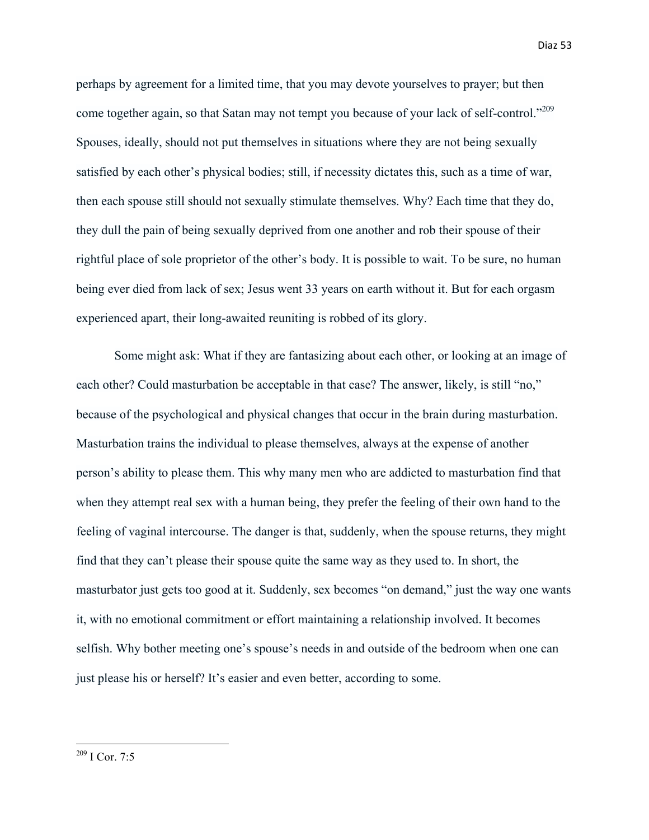perhaps by agreement for a limited time, that you may devote yourselves to prayer; but then come together again, so that Satan may not tempt you because of your lack of self-control."<sup>209</sup> Spouses, ideally, should not put themselves in situations where they are not being sexually satisfied by each other's physical bodies; still, if necessity dictates this, such as a time of war, then each spouse still should not sexually stimulate themselves. Why? Each time that they do, they dull the pain of being sexually deprived from one another and rob their spouse of their rightful place of sole proprietor of the other's body. It is possible to wait. To be sure, no human being ever died from lack of sex; Jesus went 33 years on earth without it. But for each orgasm experienced apart, their long-awaited reuniting is robbed of its glory.

Some might ask: What if they are fantasizing about each other, or looking at an image of each other? Could masturbation be acceptable in that case? The answer, likely, is still "no," because of the psychological and physical changes that occur in the brain during masturbation. Masturbation trains the individual to please themselves, always at the expense of another person's ability to please them. This why many men who are addicted to masturbation find that when they attempt real sex with a human being, they prefer the feeling of their own hand to the feeling of vaginal intercourse. The danger is that, suddenly, when the spouse returns, they might find that they can't please their spouse quite the same way as they used to. In short, the masturbator just gets too good at it. Suddenly, sex becomes "on demand," just the way one wants it, with no emotional commitment or effort maintaining a relationship involved. It becomes selfish. Why bother meeting one's spouse's needs in and outside of the bedroom when one can just please his or herself? It's easier and even better, according to some.

 $209$  I Cor. 7:5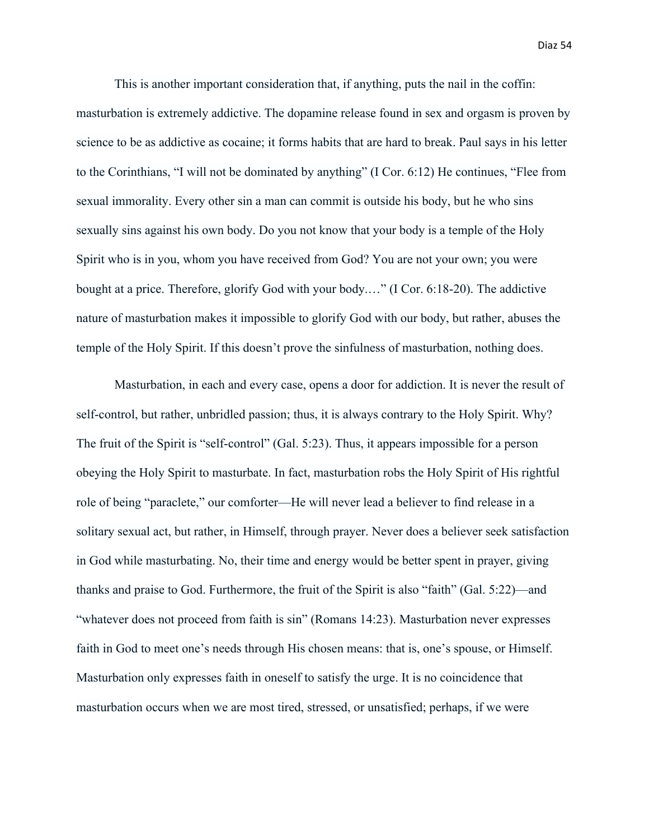This is another important consideration that, if anything, puts the nail in the coffin: masturbation is extremely addictive. The dopamine release found in sex and orgasm is proven by science to be as addictive as cocaine; it forms habits that are hard to break. Paul says in his letter to the Corinthians, "I will not be dominated by anything" (I Cor. 6:12) He continues, "Flee from sexual immorality. Every other sin a man can commit is outside his body, but he who sins sexually sins against his own body. Do you not know that your body is a temple of the Holy Spirit who is in you, whom you have received from God? You are not your own; you were bought at a price. Therefore, glorify God with your body.…" (I Cor. 6:18-20). The addictive nature of masturbation makes it impossible to glorify God with our body, but rather, abuses the temple of the Holy Spirit. If this doesn't prove the sinfulness of masturbation, nothing does.

Masturbation, in each and every case, opens a door for addiction. It is never the result of self-control, but rather, unbridled passion; thus, it is always contrary to the Holy Spirit. Why? The fruit of the Spirit is "self-control" (Gal. 5:23). Thus, it appears impossible for a person obeying the Holy Spirit to masturbate. In fact, masturbation robs the Holy Spirit of His rightful role of being "paraclete," our comforter—He will never lead a believer to find release in a solitary sexual act, but rather, in Himself, through prayer. Never does a believer seek satisfaction in God while masturbating. No, their time and energy would be better spent in prayer, giving thanks and praise to God. Furthermore, the fruit of the Spirit is also "faith" (Gal. 5:22)—and "whatever does not proceed from faith is sin" (Romans 14:23). Masturbation never expresses faith in God to meet one's needs through His chosen means: that is, one's spouse, or Himself. Masturbation only expresses faith in oneself to satisfy the urge. It is no coincidence that masturbation occurs when we are most tired, stressed, or unsatisfied; perhaps, if we were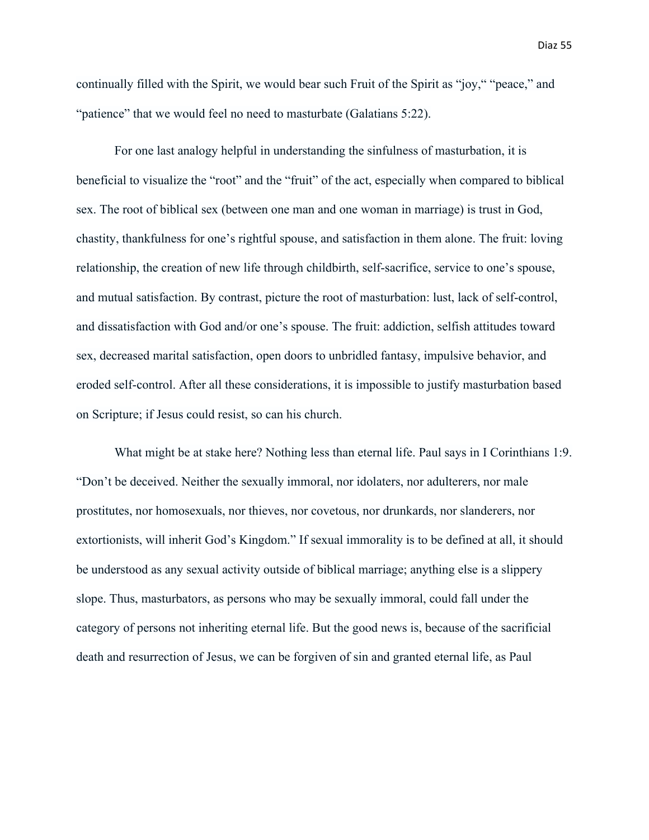continually filled with the Spirit, we would bear such Fruit of the Spirit as "joy," "peace," and "patience" that we would feel no need to masturbate (Galatians 5:22).

For one last analogy helpful in understanding the sinfulness of masturbation, it is beneficial to visualize the "root" and the "fruit" of the act, especially when compared to biblical sex. The root of biblical sex (between one man and one woman in marriage) is trust in God, chastity, thankfulness for one's rightful spouse, and satisfaction in them alone. The fruit: loving relationship, the creation of new life through childbirth, self-sacrifice, service to one's spouse, and mutual satisfaction. By contrast, picture the root of masturbation: lust, lack of self-control, and dissatisfaction with God and/or one's spouse. The fruit: addiction, selfish attitudes toward sex, decreased marital satisfaction, open doors to unbridled fantasy, impulsive behavior, and eroded self-control. After all these considerations, it is impossible to justify masturbation based on Scripture; if Jesus could resist, so can his church.

What might be at stake here? Nothing less than eternal life. Paul says in I Corinthians 1:9. "Don't be deceived. Neither the sexually immoral, nor idolaters, nor adulterers, nor male prostitutes, nor homosexuals, nor thieves, nor covetous, nor drunkards, nor slanderers, nor extortionists, will inherit God's Kingdom." If sexual immorality is to be defined at all, it should be understood as any sexual activity outside of biblical marriage; anything else is a slippery slope. Thus, masturbators, as persons who may be sexually immoral, could fall under the category of persons not inheriting eternal life. But the good news is, because of the sacrificial death and resurrection of Jesus, we can be forgiven of sin and granted eternal life, as Paul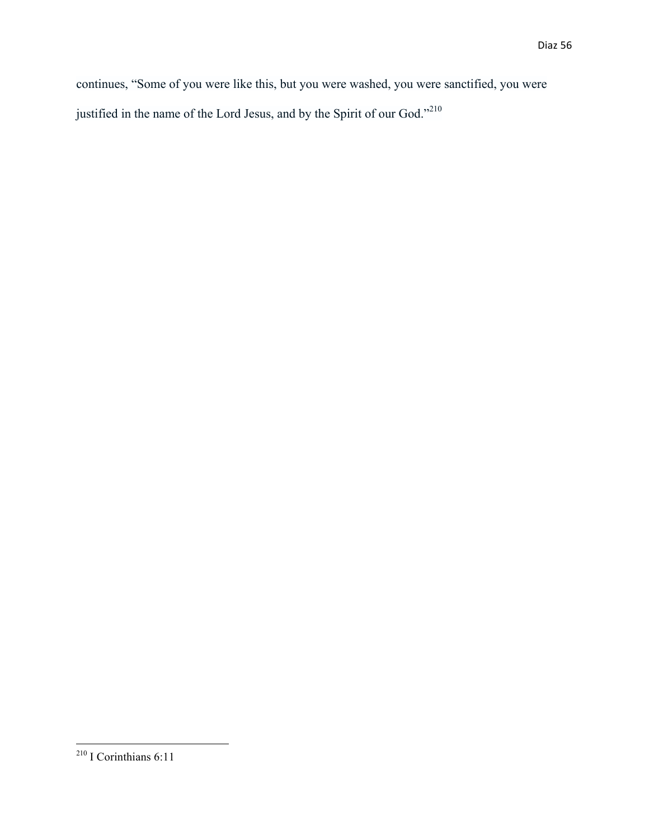continues, "Some of you were like this, but you were washed, you were sanctified, you were justified in the name of the Lord Jesus, and by the Spirit of our God."<sup>210</sup>

 $2^{10}$  I Corinthians 6:11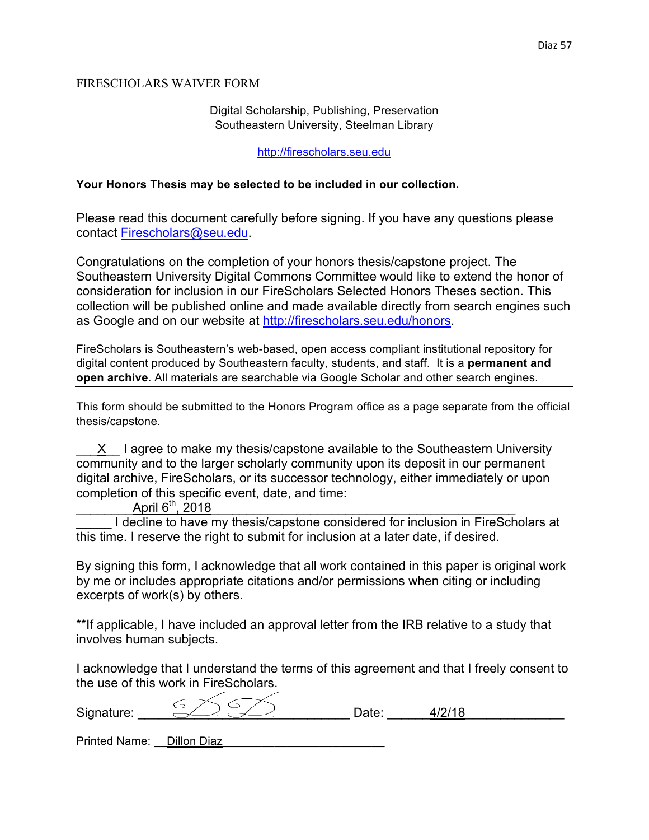#### FIRESCHOLARS WAIVER FORM

## Digital Scholarship, Publishing, Preservation Southeastern University, Steelman Library

#### http://firescholars.seu.edu

#### **Your Honors Thesis may be selected to be included in our collection.**

Please read this document carefully before signing. If you have any questions please contact Firescholars@seu.edu.

Congratulations on the completion of your honors thesis/capstone project. The Southeastern University Digital Commons Committee would like to extend the honor of consideration for inclusion in our FireScholars Selected Honors Theses section. This collection will be published online and made available directly from search engines such as Google and on our website at http://firescholars.seu.edu/honors.

FireScholars is Southeastern's web-based, open access compliant institutional repository for digital content produced by Southeastern faculty, students, and staff. It is a **permanent and open archive**. All materials are searchable via Google Scholar and other search engines.

This form should be submitted to the Honors Program office as a page separate from the official thesis/capstone.

X I agree to make my thesis/capstone available to the Southeastern University community and to the larger scholarly community upon its deposit in our permanent digital archive, FireScholars, or its successor technology, either immediately or upon completion of this specific event, date, and time:

April  $6^{th}$ , 2018

I decline to have my thesis/capstone considered for inclusion in FireScholars at this time. I reserve the right to submit for inclusion at a later date, if desired.

By signing this form, I acknowledge that all work contained in this paper is original work by me or includes appropriate citations and/or permissions when citing or including excerpts of work(s) by others.

\*\*If applicable, I have included an approval letter from the IRB relative to a study that involves human subjects.

I acknowledge that I understand the terms of this agreement and that I freely consent to the use of this work in FireScholars.

| Signature: |  |  |
|------------|--|--|
|            |  |  |

Printed Name: Dillon Diaz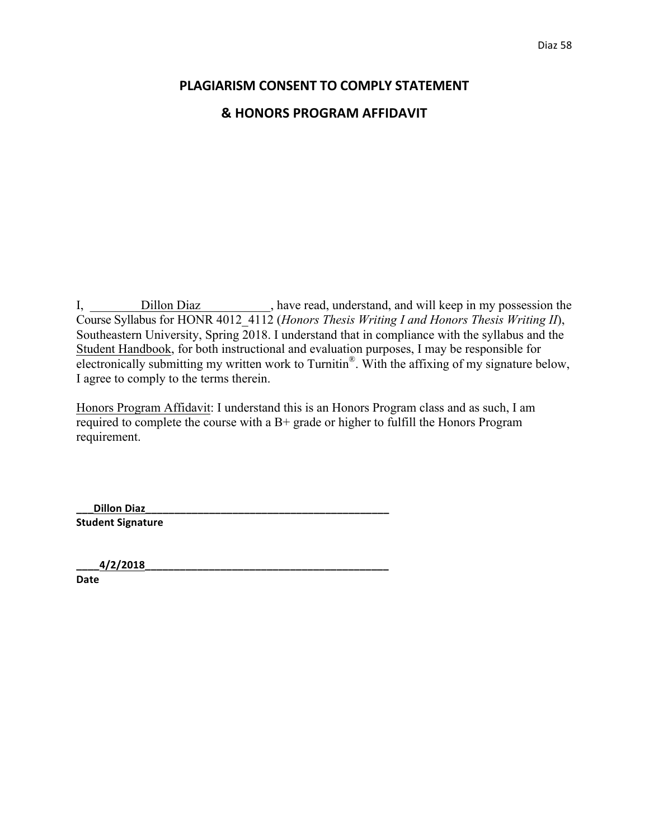# **PLAGIARISM CONSENT TO COMPLY STATEMENT & HONORS PROGRAM AFFIDAVIT**

I, <u>Dillon Diaz</u>, have read, understand, and will keep in my possession the Course Syllabus for HONR 4012\_4112 (*Honors Thesis Writing I and Honors Thesis Writing II*), Southeastern University, Spring 2018. I understand that in compliance with the syllabus and the Student Handbook, for both instructional and evaluation purposes, I may be responsible for electronically submitting my written work to Turnitin®. With the affixing of my signature below, I agree to comply to the terms therein.

Honors Program Affidavit: I understand this is an Honors Program class and as such, I am required to complete the course with a B+ grade or higher to fulfill the Honors Program requirement.

**\_\_\_Dillon Diaz\_\_\_\_\_\_\_\_\_\_\_\_\_\_\_\_\_\_\_\_\_\_\_\_\_\_\_\_\_\_\_\_\_\_\_\_\_\_\_\_\_\_ Student Signature** 

**\_\_\_\_4/2/2018\_\_\_\_\_\_\_\_\_\_\_\_\_\_\_\_\_\_\_\_\_\_\_\_\_\_\_\_\_\_\_\_\_\_\_\_\_\_\_\_\_\_**

**Date**